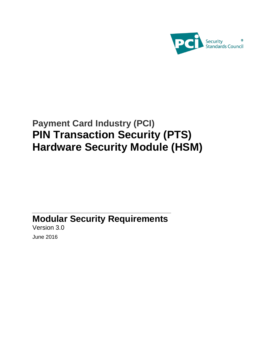

# **Payment Card Industry (PCI) PIN Transaction Security (PTS) Hardware Security Module (HSM)**

# **Modular Security Requirements**

Version 3.0 June 2016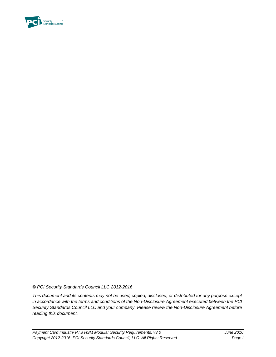

*© PCI Security Standards Council LLC 2012-2016*

*This document and its contents may not be used, copied, disclosed, or distributed for any purpose except in accordance with the terms and conditions of the Non-Disclosure Agreement executed between the PCI Security Standards Council LLC and your company. Please review the Non-Disclosure Agreement before reading this document.*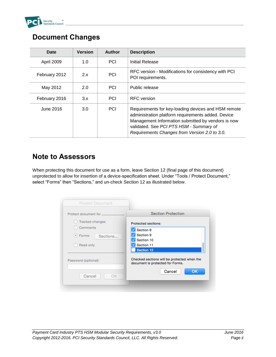

#### **Document Changes**

| Date              | <b>Version</b> | Author     | <b>Description</b>                                                                                                                                                                                                                                          |
|-------------------|----------------|------------|-------------------------------------------------------------------------------------------------------------------------------------------------------------------------------------------------------------------------------------------------------------|
| <b>April 2009</b> | 1.0            | <b>PCI</b> | Initial Release                                                                                                                                                                                                                                             |
| February 2012     | 2.x            | PCI        | RFC version - Modifications for consistency with PCI<br>POI requirements.                                                                                                                                                                                   |
| May 2012          | 2.0            | <b>PCI</b> | Public release                                                                                                                                                                                                                                              |
| February 2016     | 3.x            | <b>PCI</b> | <b>RFC</b> version                                                                                                                                                                                                                                          |
| June 2016         | 3.0            | <b>PCI</b> | Requirements for key-loading devices and HSM remote<br>administration platform requirements added. Device<br>Management Information submitted by vendors is now<br>validated. See PCI PTS HSM - Summary of<br>Requirements Changes from Version 2.0 to 3.0. |

#### **Note to Assessors**

When protecting this document for use as a form, leave Section 12 (final page of this document) unprotected to allow for insertion of a device-specification sheet. Under "Tools / Protect Document," select "Forms" then "Sections," and un-check Section 12 as illustrated below.

| <b>Protect Document</b> |                                                                                 |
|-------------------------|---------------------------------------------------------------------------------|
| Protect document for    | <b>Section Protection</b>                                                       |
| Tracked changes         | <b>Protected sections:</b>                                                      |
| Comments                | Section 8                                                                       |
| · Forms:<br>Sections    | Section 9                                                                       |
|                         | Section 10                                                                      |
| Read only               | Section 11                                                                      |
|                         | Section 12                                                                      |
| Password (optional):    | Checked sections will be protected when the<br>document is protected for Forms. |
| Cancel<br>OK            | Cancel<br>OK                                                                    |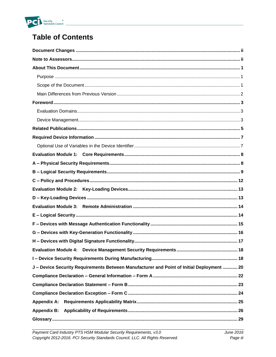

## **Table of Contents**

| J-Device Security Requirements Between Manufacturer and Point of Initial Deployment  20 |
|-----------------------------------------------------------------------------------------|
|                                                                                         |
|                                                                                         |
|                                                                                         |
|                                                                                         |
|                                                                                         |
|                                                                                         |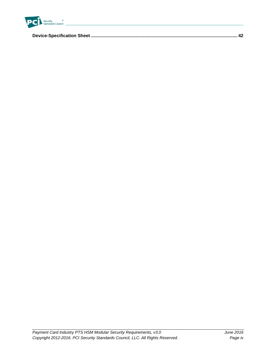

|--|--|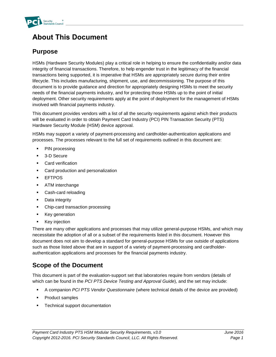

### **About This Document**

#### **Purpose**

HSMs (Hardware Security Modules) play a critical role in helping to ensure the confidentiality and/or data integrity of financial transactions. Therefore, to help engender trust in the legitimacy of the financial transactions being supported, it is imperative that HSMs are appropriately secure during their entire lifecycle. This includes manufacturing, shipment, use, and decommissioning. The purpose of this document is to provide guidance and direction for appropriately designing HSMs to meet the security needs of the financial payments industry, and for protecting those HSMs up to the point of initial deployment. Other security requirements apply at the point of deployment for the management of HSMs involved with financial payments industry.

This document provides vendors with a list of all the security requirements against which their products will be evaluated in order to obtain Payment Card Industry (PCI) PIN Transaction Security (PTS) Hardware Security Module (HSM) device approval.

HSMs may support a variety of payment-processing and cardholder-authentication applications and processes. The processes relevant to the full set of requirements outlined in this document are:

- PIN processing
- 3-D Secure
- **Card verification**
- **Card production and personalization**
- EFTPOS
- **ATM** interchange
- Cash-card reloading
- **Data integrity**
- Chip-card transaction processing
- Key generation
- **Key injection**

There are many other applications and processes that may utilize general-purpose HSMs, and which may necessitate the adoption of all or a subset of the requirements listed in this document. However this document does not aim to develop a standard for general-purpose HSMs for use outside of applications such as those listed above that are in support of a variety of payment-processing and cardholderauthentication applications and processes for the financial payments industry.

#### **Scope of the Document**

This document is part of the evaluation-support set that laboratories require from vendors (details of which can be found in the *PCI PTS Device Testing and Approval Guide*), and the set may include:

- A companion *PCI PTS Vendor Questionnaire* (where technical details of the device are provided)
- **•** Product samples
- Technical support documentation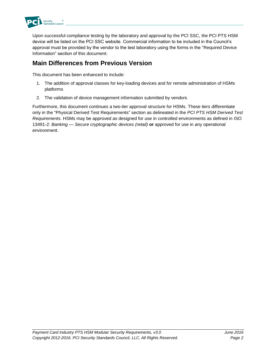

Upon successful compliance testing by the laboratory and approval by the PCI SSC, the PCI PTS HSM device will be listed on the PCI SSC website. Commercial information to be included in the Council's approval must be provided by the vendor to the test laboratory using the forms in the "Required Device Information" section of this document.

#### **Main Differences from Previous Version**

This document has been enhanced to include:

- 1. The addition of approval classes for key-loading devices and for remote administration of HSMs platforms
- 2. The validation of device management information submitted by vendors

Furthermore, this document continues a two-tier approval structure for HSMs. These tiers differentiate only in the "Physical Derived Test Requirements" section as delineated in the *PCI PTS HSM Derived Test Requirements*. HSMs may be approved as designed for use in controlled environments as defined in ISO 13491-2: *Banking — Secure cryptographic devices (retail)* **or** approved for use in any operational environment.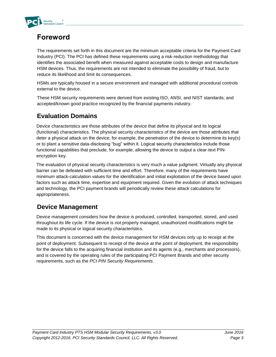

## **Foreword**

The requirements set forth in this document are the minimum acceptable criteria for the Payment Card Industry (PCI). The PCI has defined these requirements using a risk-reduction methodology that identifies the associated benefit when measured against acceptable costs to design and manufacture HSM devices. Thus, the requirements are not intended to eliminate the possibility of fraud, but to reduce its likelihood and limit its consequences.

HSMs are typically housed in a secure environment and managed with additional procedural controls external to the device.

These HSM security requirements were derived from existing ISO, ANSI, and NIST standards; and accepted/known good practice recognized by the financial payments industry.

#### **Evaluation Domains**

Device characteristics are those attributes of the device that define its physical and its logical (functional) characteristics. The physical security characteristics of the device are those attributes that deter a physical attack on the device, for example, the penetration of the device to determine its key(s) or to plant a sensitive data-disclosing "bug" within it. Logical security characteristics include those functional capabilities that preclude, for example, allowing the device to output a clear-text PINencryption key.

The evaluation of physical security characteristics is very much a value judgment. Virtually any physical barrier can be defeated with sufficient time and effort. Therefore, many of the requirements have minimum attack-calculation values for the identification and initial exploitation of the device based upon factors such as attack time, expertise and equipment required. Given the evolution of attack techniques and technology, the PCI payment brands will periodically review these attack calculations for appropriateness.

#### **Device Management**

Device management considers how the device is produced, controlled, transported, stored, and used throughout its life cycle. If the device is not properly managed, unauthorized modifications might be made to its physical or logical security characteristics.

This document is concerned with the device management for HSM devices only up to receipt at the point of deployment. Subsequent to receipt of the device at the point of deployment, the responsibility for the device falls to the acquiring financial institution and its agents (e.g., merchants and processors), and is covered by the operating rules of the participating PCI Payment Brands and other security requirements, such as the *PCI PIN Security Requirements*.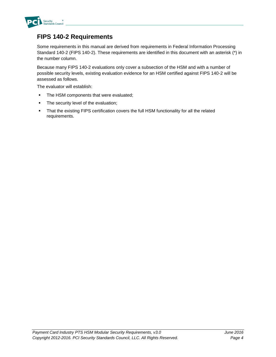

#### **FIPS 140-2 Requirements**

Some requirements in this manual are derived from requirements in Federal Information Processing Standard 140-2 (FIPS 140-2). These requirements are identified in this document with an asterisk (\*) in the number column.

Because many FIPS 140-2 evaluations only cover a subsection of the HSM and with a number of possible security levels, existing evaluation evidence for an HSM certified against FIPS 140-2 will be assessed as follows.

The evaluator will establish:

- The HSM components that were evaluated;
- The security level of the evaluation;
- That the existing FIPS certification covers the full HSM functionality for all the related requirements.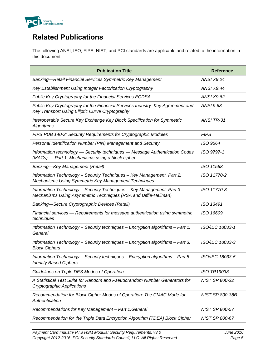

### **Related Publications**

The following ANSI, ISO, FIPS, NIST, and PCI standards are applicable and related to the information in this document.

| <b>Publication Title</b>                                                                                                                  | <b>Reference</b>      |
|-------------------------------------------------------------------------------------------------------------------------------------------|-----------------------|
| Banking-Retail Financial Services Symmetric Key Management                                                                                | <b>ANSI X9.24</b>     |
| Key Establishment Using Integer Factorization Cryptography                                                                                | <b>ANSI X9.44</b>     |
| Public Key Cryptography for the Financial Services ECDSA                                                                                  | <b>ANSI X9.62</b>     |
| Public Key Cryptography for the Financial Services Industry: Key Agreement and<br>Key Transport Using Elliptic Curve Cryptography         | ANSI 9.63             |
| Interoperable Secure Key Exchange Key Block Specification for Symmetric<br><b>Algorithms</b>                                              | ANSI TR-31            |
| FIPS PUB 140-2: Security Requirements for Cryptographic Modules                                                                           | <b>FIPS</b>           |
| Personal Identification Number (PIN) Management and Security                                                                              | ISO 9564              |
| Information technology - Security techniques - Message Authentication Codes<br>(MACs) — Part 1: Mechanisms using a block cipher           | ISO 9797-1            |
| <b>Banking-Key Management (Retail)</b>                                                                                                    | ISO 11568             |
| Information Technology - Security Techniques - Key Management, Part 2:<br>Mechanisms Using Symmetric Key Management Techniques            | ISO 11770-2           |
| Information Technology - Security Techniques - Key Management, Part 3:<br>Mechanisms Using Asymmetric Techniques (RSA and Diffie-Hellman) | ISO 11770-3           |
| Banking-Secure Cryptographic Devices (Retail)                                                                                             | ISO 13491             |
| Financial services - Requirements for message authentication using symmetric<br>techniques                                                | ISO 16609             |
| Information Technology - Security techniques - Encryption algorithms - Part 1:<br>General                                                 | ISO/IEC 18033-1       |
| Information Technology - Security techniques - Encryption algorithms - Part 3:<br><b>Block Ciphers</b>                                    | ISO/IEC 18033-3       |
| Information Technology - Security techniques - Encryption algorithms - Part 5:<br><b>Identity Based Ciphers</b>                           | ISO/IEC 18033-5       |
| Guidelines on Triple DES Modes of Operation                                                                                               | <b>ISO TR19038</b>    |
| A Statistical Test Suite for Random and Pseudorandom Number Generators for<br><b>Cryptographic Applications</b>                           | NIST SP 800-22        |
| Recommendation for Block Cipher Modes of Operation: The CMAC Mode for<br>Authentication                                                   | NIST SP 800-38B       |
| Recommendations for Key Management - Part 1: General                                                                                      | NIST SP 800-57        |
| Recommendation for the Triple Data Encryption Algorithm (TDEA) Block Cipher                                                               | <b>NIST SP 800-67</b> |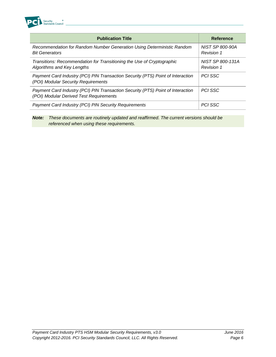

| <b>Publication Title</b>                                                                                                   | <b>Reference</b>                      |
|----------------------------------------------------------------------------------------------------------------------------|---------------------------------------|
| Recommendation for Random Number Generation Using Deterministic Random<br><b>Bit Generators</b>                            | NIST SP 800-90A<br><b>Revision 1</b>  |
| Transitions: Recommendation for Transitioning the Use of Cryptographic<br>Algorithms and Key Lengths                       | NIST SP 800-131A<br><b>Revision 1</b> |
| Payment Card Industry (PCI) PIN Transaction Security (PTS) Point of Interaction<br>(POI) Modular Security Requirements     | <b>PCI SSC</b>                        |
| Payment Card Industry (PCI) PIN Transaction Security (PTS) Point of Interaction<br>(POI) Modular Derived Test Requirements | <b>PCI SSC</b>                        |
| Payment Card Industry (PCI) PIN Security Requirements                                                                      | <b>PCI SSC</b>                        |

*Note: These documents are routinely updated and reaffirmed. The current versions should be referenced when using these requirements.*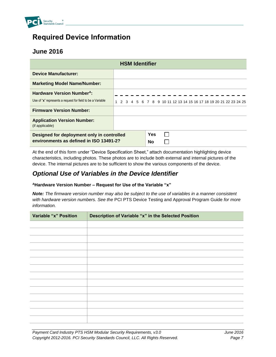

#### **Required Device Information**

#### **June 2016**

| <b>HSM Identifier</b>                                                                                     |  |  |  |  |  |  |  |                  |  |  |  |  |  |                                                                   |  |  |  |
|-----------------------------------------------------------------------------------------------------------|--|--|--|--|--|--|--|------------------|--|--|--|--|--|-------------------------------------------------------------------|--|--|--|
| <b>Device Manufacturer:</b>                                                                               |  |  |  |  |  |  |  |                  |  |  |  |  |  |                                                                   |  |  |  |
| <b>Marketing Model Name/Number:</b>                                                                       |  |  |  |  |  |  |  |                  |  |  |  |  |  |                                                                   |  |  |  |
| <b>Hardware Version Number<sup>A</sup>:</b><br>Use of "x" represents a request for field to be a Variable |  |  |  |  |  |  |  |                  |  |  |  |  |  | 1 2 3 4 5 6 7 8 9 10 11 12 13 14 15 16 17 18 19 20 21 22 23 24 25 |  |  |  |
| <b>Firmware Version Number:</b>                                                                           |  |  |  |  |  |  |  |                  |  |  |  |  |  |                                                                   |  |  |  |
| <b>Application Version Number:</b><br>(if applicable)                                                     |  |  |  |  |  |  |  |                  |  |  |  |  |  |                                                                   |  |  |  |
| Designed for deployment only in controlled<br>environments as defined in ISO 13491-2?                     |  |  |  |  |  |  |  | <b>Yes</b><br>No |  |  |  |  |  |                                                                   |  |  |  |

At the end of this form under "Device Specification Sheet," attach documentation highlighting device characteristics, including photos. These photos are to include both external and internal pictures of the device. The internal pictures are to be sufficient to show the various components of the device.

#### *Optional Use of Variables in the Device Identifier*

#### **<sup>A</sup>Hardware Version Number – Request for Use of the Variable "x"**

*Note: The firmware version number may also be subject to the use of variables in a manner consistent with hardware version numbers. See the* PCI PTS Device Testing and Approval Program Guide *for more information.*

| <b>Variable "x" Position</b> | Description of Variable "x" in the Selected Position |
|------------------------------|------------------------------------------------------|
|                              |                                                      |
|                              |                                                      |
|                              |                                                      |
|                              |                                                      |
|                              |                                                      |
|                              |                                                      |
|                              |                                                      |
|                              |                                                      |
|                              |                                                      |
|                              |                                                      |
|                              |                                                      |
|                              |                                                      |
|                              |                                                      |
|                              |                                                      |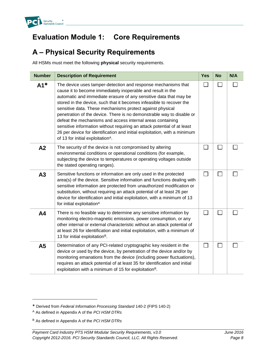

### **Evaluation Module 1: Core Requirements**

### **A – Physical Security Requirements**

All HSMs must meet the following **physical** security requirements.

| <b>Number</b>  | <b>Description of Requirement</b>                                                                                                                                                                                                                                                                                                                                                                                                                                                                                                                                                                                                                                                      | <b>Yes</b>   | <b>No</b> | N/A |
|----------------|----------------------------------------------------------------------------------------------------------------------------------------------------------------------------------------------------------------------------------------------------------------------------------------------------------------------------------------------------------------------------------------------------------------------------------------------------------------------------------------------------------------------------------------------------------------------------------------------------------------------------------------------------------------------------------------|--------------|-----------|-----|
| $A1*$          | The device uses tamper-detection and response mechanisms that<br>cause it to become immediately inoperable and result in the<br>automatic and immediate erasure of any sensitive data that may be<br>stored in the device, such that it becomes infeasible to recover the<br>sensitive data. These mechanisms protect against physical<br>penetration of the device. There is no demonstrable way to disable or<br>defeat the mechanisms and access internal areas containing<br>sensitive information without requiring an attack potential of at least<br>26 per device for identification and initial exploitation, with a minimum<br>of 13 for initial exploitation <sup>A</sup> . |              |           |     |
| A2             | The security of the device is not compromised by altering<br>environmental conditions or operational conditions (for example,<br>subjecting the device to temperatures or operating voltages outside<br>the stated operating ranges).                                                                                                                                                                                                                                                                                                                                                                                                                                                  |              |           |     |
| A3             | Sensitive functions or information are only used in the protected<br>area(s) of the device. Sensitive information and functions dealing with<br>sensitive information are protected from unauthorized modification or<br>substitution, without requiring an attack potential of at least 26 per<br>device for identification and initial exploitation, with a minimum of 13<br>for initial exploitation <sup>A</sup>                                                                                                                                                                                                                                                                   |              |           |     |
| A <sub>4</sub> | There is no feasible way to determine any sensitive information by<br>monitoring electro-magnetic emissions, power consumption, or any<br>other internal or external characteristic without an attack potential of<br>at least 26 for identification and initial exploitation, with a minimum of<br>13 for initial exploitation <sup>B</sup> .                                                                                                                                                                                                                                                                                                                                         | $\mathsf{L}$ | l.        |     |
| A5             | Determination of any PCI-related cryptographic key resident in the<br>device or used by the device, by penetration of the device and/or by<br>monitoring emanations from the device (including power fluctuations),<br>requires an attack potential of at least 35 for identification and initial<br>exploitation with a minimum of 15 for exploitation <sup>B</sup> .                                                                                                                                                                                                                                                                                                                 | $\mathbf{L}$ | L.        |     |

l

Derived from *Federal Information Processing Standard* 140-2 (FIPS 140-2)

<sup>A</sup> As defined in Appendix A of the *PCI HSM DTRs*

<sup>B</sup> As defined in Appendix A of the *PCI HSM DTRs*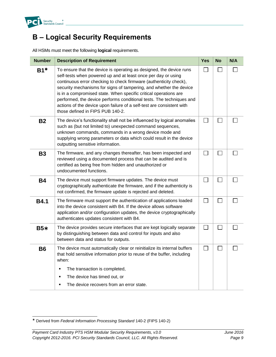

### **B – Logical Security Requirements**

All HSMs must meet the following **logical** requirements.

<span id="page-13-0"></span>

| <b>Number</b> | <b>Description of Requirement</b>                                                                                                                                                                                                                                                                                                                                                                                                                                                                                                        | <b>Yes</b>               | <b>No</b>    | N/A |
|---------------|------------------------------------------------------------------------------------------------------------------------------------------------------------------------------------------------------------------------------------------------------------------------------------------------------------------------------------------------------------------------------------------------------------------------------------------------------------------------------------------------------------------------------------------|--------------------------|--------------|-----|
| $B1*$         | To ensure that the device is operating as designed, the device runs<br>self-tests when powered up and at least once per day or using<br>continuous error checking to check firmware (authenticity check),<br>security mechanisms for signs of tampering, and whether the device<br>is in a compromised state. When specific critical operations are<br>performed, the device performs conditional tests. The techniques and<br>actions of the device upon failure of a self-test are consistent with<br>those defined in FIPS PUB 140-2. | $\mathbf{L}$             |              |     |
| <b>B2</b>     | The device's functionality shall not be influenced by logical anomalies<br>such as (but not limited to) unexpected command sequences,<br>unknown commands, commands in a wrong device mode and<br>supplying wrong parameters or data which could result in the device<br>outputting sensitive information.                                                                                                                                                                                                                               | $\overline{\phantom{a}}$ | $\sim$       |     |
| <b>B3</b>     | The firmware, and any changes thereafter, has been inspected and<br>reviewed using a documented process that can be audited and is<br>certified as being free from hidden and unauthorized or<br>undocumented functions.                                                                                                                                                                                                                                                                                                                 |                          |              |     |
| <b>B4</b>     | The device must support firmware updates. The device must<br>cryptographically authenticate the firmware, and if the authenticity is<br>not confirmed, the firmware update is rejected and deleted.                                                                                                                                                                                                                                                                                                                                      |                          |              |     |
| <b>B4.1</b>   | The firmware must support the authentication of applications loaded<br>into the device consistent with B4. If the device allows software<br>application and/or configuration updates, the device cryptographically<br>authenticates updates consistent with B4.                                                                                                                                                                                                                                                                          | $\mathbf{L}$             | $\mathsf{L}$ |     |
| $B5*$         | The device provides secure interfaces that are kept logically separate<br>by distinguishing between data and control for inputs and also<br>between data and status for outputs.                                                                                                                                                                                                                                                                                                                                                         | $\mathbf{L}$             | $\mathbf{L}$ |     |
| <b>B6</b>     | The device must automatically clear or reinitialize its internal buffers<br>that hold sensitive information prior to reuse of the buffer, including<br>when:                                                                                                                                                                                                                                                                                                                                                                             | $\mathcal{L}$            |              |     |
|               | The transaction is completed,<br>٠                                                                                                                                                                                                                                                                                                                                                                                                                                                                                                       |                          |              |     |
|               | The device has timed out, or                                                                                                                                                                                                                                                                                                                                                                                                                                                                                                             |                          |              |     |
|               | The device recovers from an error state.<br>$\blacksquare$                                                                                                                                                                                                                                                                                                                                                                                                                                                                               |                          |              |     |

l Derived from *Federal Information Processing Standard* 140-2 (FIPS 140-2)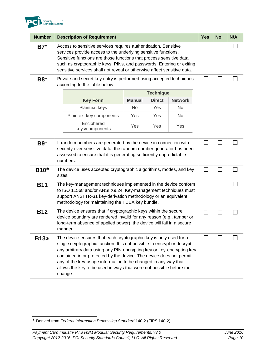

| <b>Number</b> | <b>Description of Requirement</b>                                                                                                                                                                                                                                                                                                                                                                                                                |           |                  |                   | <b>Yes</b> | <b>No</b> | N/A |
|---------------|--------------------------------------------------------------------------------------------------------------------------------------------------------------------------------------------------------------------------------------------------------------------------------------------------------------------------------------------------------------------------------------------------------------------------------------------------|-----------|------------------|-------------------|------------|-----------|-----|
| $B7*$         | Access to sensitive services requires authentication. Sensitive<br>services provide access to the underlying sensitive functions.<br>Sensitive functions are those functions that process sensitive data<br>such as cryptographic keys, PINs, and passwords. Entering or exiting<br>sensitive services shall not reveal or otherwise affect sensitive data.                                                                                      |           |                  |                   |            |           |     |
| <b>B8*</b>    | Private and secret key entry is performed using accepted techniques<br>according to the table below.                                                                                                                                                                                                                                                                                                                                             |           | $\Box$           |                   |            |           |     |
|               |                                                                                                                                                                                                                                                                                                                                                                                                                                                  |           | <b>Technique</b> |                   |            |           |     |
|               | <b>Manual</b><br><b>Direct</b><br><b>Network</b><br><b>Key Form</b>                                                                                                                                                                                                                                                                                                                                                                              |           |                  |                   |            |           |     |
|               | Plaintext keys                                                                                                                                                                                                                                                                                                                                                                                                                                   | <b>No</b> | Yes              | No                |            |           |     |
|               | Plaintext key components                                                                                                                                                                                                                                                                                                                                                                                                                         | Yes       | Yes              | No.               |            |           |     |
|               | Enciphered<br>keys/components                                                                                                                                                                                                                                                                                                                                                                                                                    | Yes       | Yes              | Yes               |            |           |     |
| <b>B9</b> *   | If random numbers are generated by the device in connection with<br>security over sensitive data, the random number generator has been<br>assessed to ensure that it is generating sufficiently unpredictable<br>numbers.                                                                                                                                                                                                                        |           |                  | $\mathbf{I}$      |            |           |     |
| $B10*$        | The device uses accepted cryptographic algorithms, modes, and key<br>sizes.                                                                                                                                                                                                                                                                                                                                                                      |           |                  | П                 |            |           |     |
| <b>B11</b>    | The key-management techniques implemented in the device conform<br>to ISO 11568 and/or ANSI X9.24. Key-management techniques must<br>support ANSI TR-31 key-derivation methodology or an equivalent<br>methodology for maintaining the TDEA key bundle.                                                                                                                                                                                          |           |                  | П                 |            |           |     |
| <b>B12</b>    | The device ensures that if cryptographic keys within the secure<br>device boundary are rendered invalid for any reason (e.g., tamper or<br>long-term absence of applied power), the device will fail in a secure<br>manner.                                                                                                                                                                                                                      |           |                  | $\vert \ \ \vert$ |            |           |     |
| <b>B13*</b>   | The device ensures that each cryptographic key is only used for a<br>single cryptographic function. It is not possible to encrypt or decrypt<br>any arbitrary data using any PIN-encrypting key or key-encrypting key<br>contained in or protected by the device. The device does not permit<br>any of the key-usage information to be changed in any way that<br>allows the key to be used in ways that were not possible before the<br>change. |           |                  | $\mathsf{L}$      |            |           |     |

l Derived from *Federal Information Processing Standard* 140-2 (FIPS 140-2)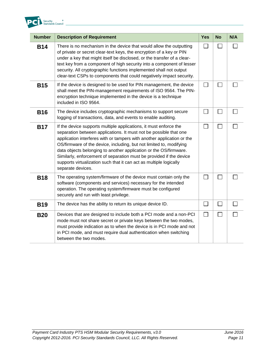

| <b>Number</b> | <b>Description of Requirement</b>                                                                                                                                                                                                                                                                                                                                                                                                                                                                                              | <b>Yes</b> | <b>No</b> | N/A |
|---------------|--------------------------------------------------------------------------------------------------------------------------------------------------------------------------------------------------------------------------------------------------------------------------------------------------------------------------------------------------------------------------------------------------------------------------------------------------------------------------------------------------------------------------------|------------|-----------|-----|
| <b>B14</b>    | There is no mechanism in the device that would allow the outputting<br>of private or secret clear-text keys, the encryption of a key or PIN<br>under a key that might itself be disclosed, or the transfer of a clear-<br>text key from a component of high security into a component of lesser<br>security. All cryptographic functions implemented shall not output<br>clear-text CSPs to components that could negatively impact security.                                                                                  |            |           |     |
| <b>B15</b>    | If the device is designed to be used for PIN management, the device<br>shall meet the PIN-management requirements of ISO 9564. The PIN-<br>encryption technique implemented in the device is a technique<br>included in ISO 9564.                                                                                                                                                                                                                                                                                              | $\sim$     |           |     |
| <b>B16</b>    | The device includes cryptographic mechanisms to support secure<br>logging of transactions, data, and events to enable auditing.                                                                                                                                                                                                                                                                                                                                                                                                |            | $\sim$    |     |
| <b>B17</b>    | If the device supports multiple applications, it must enforce the<br>separation between applications. It must not be possible that one<br>application interferes with or tampers with another application or the<br>OS/firmware of the device, including, but not limited to, modifying<br>data objects belonging to another application or the OS/firmware.<br>Similarly, enforcement of separation must be provided if the device<br>supports virtualization such that it can act as multiple logically<br>separate devices. |            | $\Box$    |     |
| <b>B18</b>    | The operating system/firmware of the device must contain only the<br>software (components and services) necessary for the intended<br>operation. The operating system/firmware must be configured<br>securely and run with least privilege.                                                                                                                                                                                                                                                                                    |            |           |     |
| <b>B19</b>    | The device has the ability to return its unique device ID.                                                                                                                                                                                                                                                                                                                                                                                                                                                                     |            |           |     |
| <b>B20</b>    | Devices that are designed to include both a PCI mode and a non-PCI<br>mode must not share secret or private keys between the two modes,<br>must provide indication as to when the device is in PCI mode and not<br>in PCI mode, and must require dual authentication when switching<br>between the two modes.                                                                                                                                                                                                                  |            |           |     |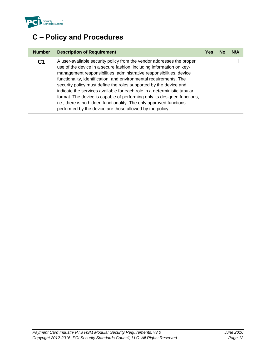

## **C – Policy and Procedures**

| <b>Number</b>  | <b>Description of Requirement</b>                                                                                                                                                                                                                                                                                                                                                                                                                                                                                                                                                                                                                           | Yes | No | N/A |
|----------------|-------------------------------------------------------------------------------------------------------------------------------------------------------------------------------------------------------------------------------------------------------------------------------------------------------------------------------------------------------------------------------------------------------------------------------------------------------------------------------------------------------------------------------------------------------------------------------------------------------------------------------------------------------------|-----|----|-----|
| C <sub>1</sub> | A user-available security policy from the vendor addresses the proper<br>use of the device in a secure fashion, including information on key-<br>management responsibilities, administrative responsibilities, device<br>functionality, identification, and environmental requirements. The<br>security policy must define the roles supported by the device and<br>indicate the services available for each role in a deterministic tabular<br>format. The device is capable of performing only its designed functions,<br>i.e., there is no hidden functionality. The only approved functions<br>performed by the device are those allowed by the policy. |     |    |     |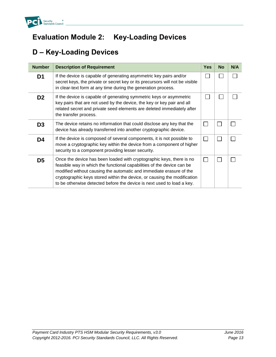

## **Evaluation Module 2: Key-Loading Devices**

## **D – Key-Loading Devices**

| <b>Number</b>  | <b>Description of Requirement</b>                                                                                                                                                                                                                                                                                                                                           | <b>Yes</b> | <b>No</b> | N/A |
|----------------|-----------------------------------------------------------------------------------------------------------------------------------------------------------------------------------------------------------------------------------------------------------------------------------------------------------------------------------------------------------------------------|------------|-----------|-----|
| D <sub>1</sub> | If the device is capable of generating asymmetric key pairs and/or<br>secret keys, the private or secret key or its precursors will not be visible<br>in clear-text form at any time during the generation process.                                                                                                                                                         |            |           |     |
| D <sub>2</sub> | If the device is capable of generating symmetric keys or asymmetric<br>key pairs that are not used by the device, the key or key pair and all<br>related secret and private seed elements are deleted immediately after<br>the transfer process.                                                                                                                            |            |           |     |
| D <sub>3</sub> | The device retains no information that could disclose any key that the<br>device has already transferred into another cryptographic device.                                                                                                                                                                                                                                 |            |           |     |
| D4             | If the device is composed of several components, it is not possible to<br>move a cryptographic key within the device from a component of higher<br>security to a component providing lesser security.                                                                                                                                                                       |            |           |     |
| D5             | Once the device has been loaded with cryptographic keys, there is no<br>feasible way in which the functional capabilities of the device can be<br>modified without causing the automatic and immediate erasure of the<br>cryptographic keys stored within the device, or causing the modification<br>to be otherwise detected before the device is next used to load a key. |            |           |     |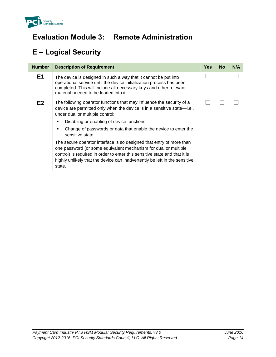

## **Evaluation Module 3: Remote Administration**

# **E – Logical Security**

| <b>Number</b>  | <b>Description of Requirement</b>                                                                                                                                                                                                                                                                             | <b>Yes</b> | <b>No</b> | N/A |
|----------------|---------------------------------------------------------------------------------------------------------------------------------------------------------------------------------------------------------------------------------------------------------------------------------------------------------------|------------|-----------|-----|
| E <sub>1</sub> | The device is designed in such a way that it cannot be put into<br>operational service until the device initialization process has been<br>completed. This will include all necessary keys and other relevant<br>material needed to be loaded into it.                                                        |            |           |     |
| E2             | The following operator functions that may influence the security of a<br>device are permitted only when the device is in a sensitive state-i.e.,<br>under dual or multiple control:                                                                                                                           |            |           |     |
|                | Disabling or enabling of device functions;<br>٠                                                                                                                                                                                                                                                               |            |           |     |
|                | Change of passwords or data that enable the device to enter the<br>٠<br>sensitive state.                                                                                                                                                                                                                      |            |           |     |
|                | The secure operator interface is so designed that entry of more than<br>one password (or some equivalent mechanism for dual or multiple<br>control) is required in order to enter this sensitive state and that it is<br>highly unlikely that the device can inadvertently be left in the sensitive<br>state. |            |           |     |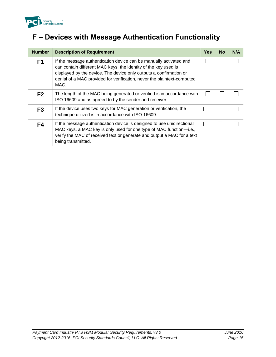

# **F – Devices with Message Authentication Functionality**

| <b>Number</b>  | <b>Description of Requirement</b>                                                                                                                                                                                                                                                              | Yes | No | N/A |
|----------------|------------------------------------------------------------------------------------------------------------------------------------------------------------------------------------------------------------------------------------------------------------------------------------------------|-----|----|-----|
| F <sub>1</sub> | If the message authentication device can be manually activated and<br>can contain different MAC keys, the identity of the key used is<br>displayed by the device. The device only outputs a confirmation or<br>denial of a MAC provided for verification, never the plaintext-computed<br>MAC. |     |    |     |
| F <sub>2</sub> | The length of the MAC being generated or verified is in accordance with<br>ISO 16609 and as agreed to by the sender and receiver.                                                                                                                                                              |     |    |     |
| F <sub>3</sub> | If the device uses two keys for MAC generation or verification, the<br>technique utilized is in accordance with ISO 16609.                                                                                                                                                                     |     | L  |     |
| F4             | If the message authentication device is designed to use unidirectional<br>MAC keys, a MAC key is only used for one type of MAC function-i.e.,<br>verify the MAC of received text or generate and output a MAC for a text<br>being transmitted.                                                 |     |    |     |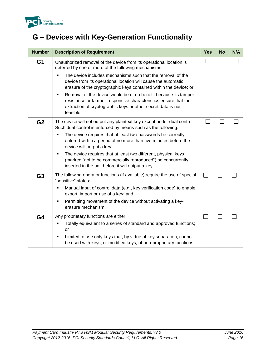

## **G – Devices with Key-Generation Functionality**

| <b>Number</b>  | <b>Description of Requirement</b>                                                                                                                                                                                                  | <b>Yes</b>        | <b>No</b>      | N/A |
|----------------|------------------------------------------------------------------------------------------------------------------------------------------------------------------------------------------------------------------------------------|-------------------|----------------|-----|
| G <sub>1</sub> | Unauthorized removal of the device from its operational location is<br>deterred by one or more of the following mechanisms:                                                                                                        |                   |                |     |
|                | The device includes mechanisms such that the removal of the<br>device from its operational location will cause the automatic<br>erasure of the cryptographic keys contained within the device; or                                  |                   |                |     |
|                | Removal of the device would be of no benefit because its tamper-<br>$\blacksquare$<br>resistance or tamper-responsive characteristics ensure that the<br>extraction of cryptographic keys or other secret data is not<br>feasible. |                   |                |     |
| G <sub>2</sub> | The device will not output any plaintext key except under dual control.<br>Such dual control is enforced by means such as the following:                                                                                           |                   |                |     |
|                | The device requires that at least two passwords be correctly<br>٠<br>entered within a period of no more than five minutes before the<br>device will output a key.                                                                  |                   |                |     |
|                | The device requires that at least two different, physical keys<br>٠<br>(marked "not to be commercially reproduced") be concurrently<br>inserted in the unit before it will output a key.                                           |                   |                |     |
| G <sub>3</sub> | The following operator functions (if available) require the use of special<br>"sensitive" states:                                                                                                                                  | $\Box$            | $\mathbb{R}^n$ |     |
|                | Manual input of control data (e.g., key verification code) to enable<br>٠<br>export, import or use of a key; and                                                                                                                   |                   |                |     |
|                | Permitting movement of the device without activating a key-<br>٠<br>erasure mechanism.                                                                                                                                             |                   |                |     |
| G <sub>4</sub> | Any proprietary functions are either:                                                                                                                                                                                              | $\vert \ \ \vert$ | $\Box$         |     |
|                | Totally equivalent to a series of standard and approved functions;<br>٠<br>or                                                                                                                                                      |                   |                |     |
|                | Limited to use only keys that, by virtue of key separation, cannot<br>٠<br>be used with keys, or modified keys, of non-proprietary functions.                                                                                      |                   |                |     |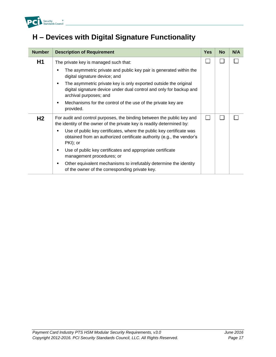

## **H – Devices with Digital Signature Functionality**

| <b>Number</b>  | <b>Description of Requirement</b>                                                                                                                                      | <b>Yes</b> | <b>No</b> | N/A |
|----------------|------------------------------------------------------------------------------------------------------------------------------------------------------------------------|------------|-----------|-----|
| H <sub>1</sub> | The private key is managed such that:                                                                                                                                  |            |           |     |
|                | The asymmetric private and public key pair is generated within the<br>digital signature device; and                                                                    |            |           |     |
|                | The asymmetric private key is only exported outside the original<br>٠<br>digital signature device under dual control and only for backup and<br>archival purposes; and |            |           |     |
|                | Mechanisms for the control of the use of the private key are<br>٠<br>provided.                                                                                         |            |           |     |
| H <sub>2</sub> | For audit and control purposes, the binding between the public key and<br>the identity of the owner of the private key is readily determined by:                       |            |           |     |
|                | Use of public key certificates, where the public key certificate was<br>٠<br>obtained from an authorized certificate authority (e.g., the vendor's<br>PKI); or         |            |           |     |
|                | Use of public key certificates and appropriate certificate<br>٠<br>management procedures; or                                                                           |            |           |     |
|                | Other equivalent mechanisms to irrefutably determine the identity<br>٠<br>of the owner of the corresponding private key.                                               |            |           |     |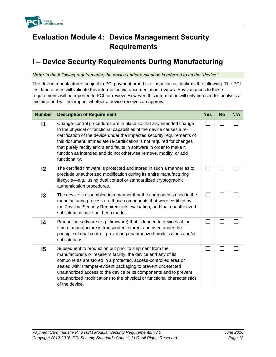

## **Evaluation Module 4: Device Management Security Requirements**

## **I – Device Security Requirements During Manufacturing**

*Note: In the following requirements, the device under evaluation is referred to as the "device."*

The device manufacturer, subject to PCI payment brand site inspections, confirms the following. The PCI test laboratories will validate this information via documentation reviews. Any variances to these requirements will be reported to PCI for review. However, this information will only be used for analysis at this time and will not impact whether a device receives an approval.

| <b>Number</b>   | <b>Description of Requirement</b>                                                                                                                                                                                                                                                                                                                                                                                                                              | <b>Yes</b>   | <b>No</b> | N/A |
|-----------------|----------------------------------------------------------------------------------------------------------------------------------------------------------------------------------------------------------------------------------------------------------------------------------------------------------------------------------------------------------------------------------------------------------------------------------------------------------------|--------------|-----------|-----|
| 11              | Change-control procedures are in place so that any intended change<br>to the physical or functional capabilities of the device causes a re-<br>certification of the device under the impacted security requirements of<br>this document. Immediate re-certification is not required for changes<br>that purely rectify errors and faults in software in order to make it<br>function as intended and do not otherwise remove, modify, or add<br>functionality. |              |           |     |
| $12 \,$         | The certified firmware is protected and stored in such a manner as to<br>preclude unauthorized modification during its entire manufacturing<br>lifecycle-e.g., using dual control or standardized cryptographic<br>authentication procedures.                                                                                                                                                                                                                  | $\mathbf{L}$ |           |     |
| $\overline{3}$  | The device is assembled in a manner that the components used in the<br>manufacturing process are those components that were certified by<br>the Physical Security Requirements evaluation, and that unauthorized<br>substitutions have not been made.                                                                                                                                                                                                          | $\mathbf{I}$ |           |     |
| $\overline{14}$ | Production software (e.g., firmware) that is loaded to devices at the<br>time of manufacture is transported, stored, and used under the<br>principle of dual control, preventing unauthorized modifications and/or<br>substitutions.                                                                                                                                                                                                                           |              |           |     |
| 15              | Subsequent to production but prior to shipment from the<br>manufacturer's or reseller's facility, the device and any of its<br>components are stored in a protected, access-controlled area or<br>sealed within tamper-evident packaging to prevent undetected<br>unauthorized access to the device or its components and to prevent<br>unauthorized modifications to the physical or functional characteristics<br>of the device.                             |              |           |     |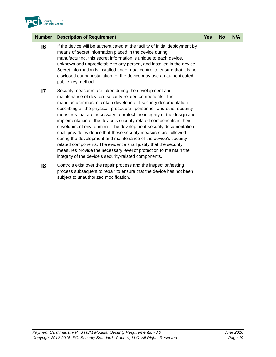

| <b>Number</b>  | <b>Description of Requirement</b>                                                                                                                                                                                                                                                                                                                                                                                                                                                                                                                                                                                                                                                                                                                                                                                             | Yes           | <b>No</b> | N/A |
|----------------|-------------------------------------------------------------------------------------------------------------------------------------------------------------------------------------------------------------------------------------------------------------------------------------------------------------------------------------------------------------------------------------------------------------------------------------------------------------------------------------------------------------------------------------------------------------------------------------------------------------------------------------------------------------------------------------------------------------------------------------------------------------------------------------------------------------------------------|---------------|-----------|-----|
| $\overline{6}$ | If the device will be authenticated at the facility of initial deployment by<br>means of secret information placed in the device during<br>manufacturing, this secret information is unique to each device,<br>unknown and unpredictable to any person, and installed in the device.<br>Secret information is installed under dual control to ensure that it is not<br>disclosed during installation, or the device may use an authenticated<br>public-key method.                                                                                                                                                                                                                                                                                                                                                            | $\mathcal{L}$ |           |     |
| $\mathsf{I}7$  | Security measures are taken during the development and<br>maintenance of device's security-related components. The<br>manufacturer must maintain development-security documentation<br>describing all the physical, procedural, personnel, and other security<br>measures that are necessary to protect the integrity of the design and<br>implementation of the device's security-related components in their<br>development environment. The development-security documentation<br>shall provide evidence that these security measures are followed<br>during the development and maintenance of the device's security-<br>related components. The evidence shall justify that the security<br>measures provide the necessary level of protection to maintain the<br>integrity of the device's security-related components. |               |           |     |
| 18             | Controls exist over the repair process and the inspection/testing<br>process subsequent to repair to ensure that the device has not been<br>subject to unauthorized modification.                                                                                                                                                                                                                                                                                                                                                                                                                                                                                                                                                                                                                                             |               |           |     |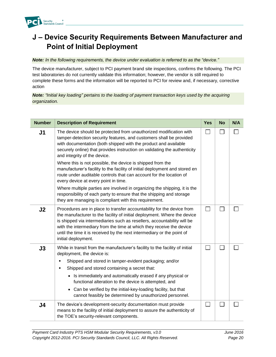

### **J – Device Security Requirements Between Manufacturer and Point of Initial Deployment**

#### *Note: In the following requirements, the device under evaluation is referred to as the "device."*

The device manufacturer, subject to PCI payment brand site inspections, confirms the following. The PCI test laboratories do not currently validate this information; however, the vendor is still required to complete these forms and the information will be reported to PCI for review and, if necessary, corrective action

*Note: "Initial key loading" pertains to the loading of payment transaction keys used by the acquiring organization.* 

| <b>Number</b>  | <b>Description of Requirement</b>                                                                                                                                                                                                                                                                                                                                                                                                                                                                                                                                                     | <b>Yes</b>                  | <b>No</b> | N/A |
|----------------|---------------------------------------------------------------------------------------------------------------------------------------------------------------------------------------------------------------------------------------------------------------------------------------------------------------------------------------------------------------------------------------------------------------------------------------------------------------------------------------------------------------------------------------------------------------------------------------|-----------------------------|-----------|-----|
| J <sub>1</sub> | The device should be protected from unauthorized modification with<br>tamper-detection security features, and customers shall be provided<br>with documentation (both shipped with the product and available<br>securely online) that provides instruction on validating the authenticity<br>and integrity of the device.<br>Where this is not possible, the device is shipped from the<br>manufacturer's facility to the facility of initial deployment and stored en<br>route under auditable controls that can account for the location of<br>every device at every point in time. | $\Box$                      |           |     |
|                | Where multiple parties are involved in organizing the shipping, it is the<br>responsibility of each party to ensure that the shipping and storage<br>they are managing is compliant with this requirement.                                                                                                                                                                                                                                                                                                                                                                            |                             |           |     |
| J2             | Procedures are in place to transfer accountability for the device from<br>the manufacturer to the facility of initial deployment. Where the device<br>is shipped via intermediaries such as resellers, accountability will be<br>with the intermediary from the time at which they receive the device<br>until the time it is received by the next intermediary or the point of<br>initial deployment.                                                                                                                                                                                | П                           |           |     |
| J3             | While in transit from the manufacturer's facility to the facility of initial<br>deployment, the device is:<br>Shipped and stored in tamper-evident packaging; and/or<br>٠<br>Shipped and stored containing a secret that:<br>$\blacksquare$<br>• Is immediately and automatically erased if any physical or<br>functional alteration to the device is attempted, and<br>• Can be verified by the initial-key-loading facility, but that<br>cannot feasibly be determined by unauthorized personnel.                                                                                   | $\mathcal{L}_{\mathcal{A}}$ |           |     |
| J4             | The device's development-security documentation must provide<br>means to the facility of initial deployment to assure the authenticity of<br>the TOE's security-relevant components.                                                                                                                                                                                                                                                                                                                                                                                                  |                             |           |     |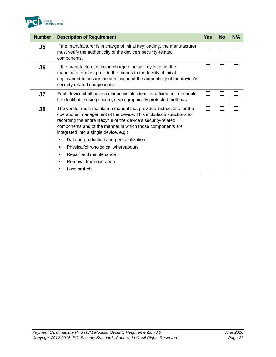

| <b>Number</b>  | <b>Description of Requirement</b>                                                                                                                                                                                                                                                                                       | Yes | <b>No</b> | N/A |
|----------------|-------------------------------------------------------------------------------------------------------------------------------------------------------------------------------------------------------------------------------------------------------------------------------------------------------------------------|-----|-----------|-----|
| J5             | If the manufacturer is in charge of initial key loading, the manufacturer<br>must verify the authenticity of the device's security-related<br>components.                                                                                                                                                               |     |           |     |
| J <sub>6</sub> | If the manufacturer is not in charge of initial key loading, the<br>manufacturer must provide the means to the facility of initial<br>deployment to assure the verification of the authenticity of the device's<br>security-related components.                                                                         |     |           |     |
| J7             | Each device shall have a unique visible identifier affixed to it or should<br>be identifiable using secure, cryptographically protected methods.                                                                                                                                                                        | L   |           |     |
| J8             | The vendor must maintain a manual that provides instructions for the<br>operational management of the device. This includes instructions for<br>recording the entire lifecycle of the device's security-related<br>components and of the manner in which those components are<br>integrated into a single device, e.g.: |     |           |     |
|                | Data on production and personalization<br>٠                                                                                                                                                                                                                                                                             |     |           |     |
|                | Physical/chronological whereabouts<br>٠                                                                                                                                                                                                                                                                                 |     |           |     |
|                | Repair and maintenance<br>٠                                                                                                                                                                                                                                                                                             |     |           |     |
|                | Removal from operation<br>٠                                                                                                                                                                                                                                                                                             |     |           |     |
|                | Loss or theft<br>٠                                                                                                                                                                                                                                                                                                      |     |           |     |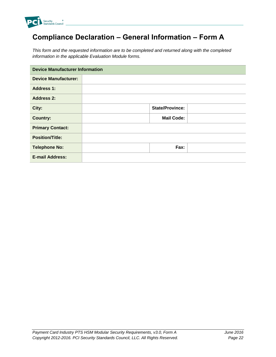

# **Compliance Declaration – General Information – Form A**

*This form and the requested information are to be completed and returned along with the completed information in the applicable Evaluation Module forms.*

| <b>Device Manufacturer Information</b> |  |                        |  |
|----------------------------------------|--|------------------------|--|
| <b>Device Manufacturer:</b>            |  |                        |  |
| <b>Address 1:</b>                      |  |                        |  |
| <b>Address 2:</b>                      |  |                        |  |
| City:                                  |  | <b>State/Province:</b> |  |
| <b>Country:</b>                        |  | <b>Mail Code:</b>      |  |
| <b>Primary Contact:</b>                |  |                        |  |
| <b>Position/Title:</b>                 |  |                        |  |
| <b>Telephone No:</b>                   |  | Fax:                   |  |
| <b>E-mail Address:</b>                 |  |                        |  |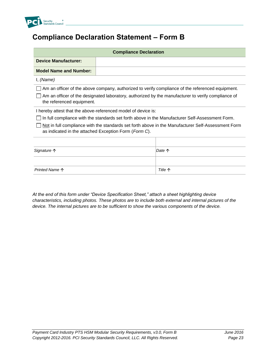

#### **Compliance Declaration Statement – Form B**

| <b>Compliance Declaration</b>                                 |                                                                                                    |                                                                                                    |  |  |
|---------------------------------------------------------------|----------------------------------------------------------------------------------------------------|----------------------------------------------------------------------------------------------------|--|--|
| <b>Device Manufacturer:</b>                                   |                                                                                                    |                                                                                                    |  |  |
| <b>Model Name and Number:</b>                                 |                                                                                                    |                                                                                                    |  |  |
| I, (Name)                                                     |                                                                                                    |                                                                                                    |  |  |
|                                                               |                                                                                                    | Am an officer of the above company, authorized to verify compliance of the referenced equipment.   |  |  |
| the referenced equipment.                                     | Am an officer of the designated laboratory, authorized by the manufacturer to verify compliance of |                                                                                                    |  |  |
| I hereby attest that the above-referenced model of device is: |                                                                                                    |                                                                                                    |  |  |
|                                                               |                                                                                                    | In full compliance with the standards set forth above in the Manufacturer Self-Assessment Form.    |  |  |
|                                                               | as indicated in the attached Exception Form (Form C).                                              | Not in full compliance with the standards set forth above in the Manufacturer Self-Assessment Form |  |  |
|                                                               |                                                                                                    |                                                                                                    |  |  |
| Signature 个                                                   | Date 个                                                                                             |                                                                                                    |  |  |
|                                                               |                                                                                                    |                                                                                                    |  |  |
| Printed Name $\uparrow$                                       |                                                                                                    | <b>Title 个</b>                                                                                     |  |  |

*At the end of this form under "Device Specification Sheet," attach a sheet highlighting device characteristics, including photos. These photos are to include both external and internal pictures of the device. The internal pictures are to be sufficient to show the various components of the device.*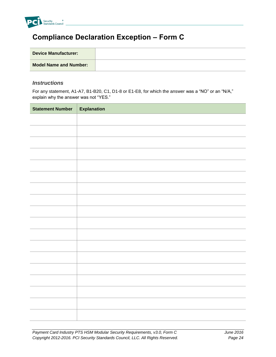

#### **Compliance Declaration Exception – Form C**

| <b>Device Manufacturer:</b>   |  |
|-------------------------------|--|
| <b>Model Name and Number:</b> |  |

#### *Instructions*

For any statement, A1-A7, B1-B20, C1, D1-8 or E1-E8, for which the answer was a "NO" or an "N/A," explain why the answer was not "YES."

| <b>Statement Number</b> | <b>Explanation</b> |
|-------------------------|--------------------|
|                         |                    |
|                         |                    |
|                         |                    |
|                         |                    |
|                         |                    |
|                         |                    |
|                         |                    |
|                         |                    |
|                         |                    |
|                         |                    |
|                         |                    |
|                         |                    |
|                         |                    |
|                         |                    |
|                         |                    |
|                         |                    |
|                         |                    |
|                         |                    |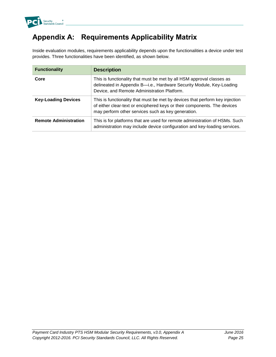

## **Appendix A: Requirements Applicability Matrix**

Inside evaluation modules, requirements applicability depends upon the functionalities a device under test provides. Three functionalities have been identified, as shown below.

| <b>Functionality</b>         | <b>Description</b>                                                                                                                                                                                             |
|------------------------------|----------------------------------------------------------------------------------------------------------------------------------------------------------------------------------------------------------------|
| Core                         | This is functionality that must be met by all HSM approval classes as<br>delineated in Appendix B-i.e., Hardware Security Module, Key-Loading<br>Device, and Remote Administration Platform.                   |
| <b>Key-Loading Devices</b>   | This is functionality that must be met by devices that perform key injection<br>of either clear-text or enciphered keys or their components. The devices<br>may perform other services such as key generation. |
| <b>Remote Administration</b> | This is for platforms that are used for remote administration of HSMs. Such<br>administration may include device configuration and key-loading services.                                                       |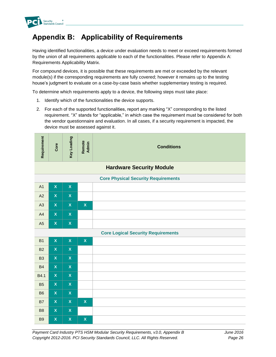

### **Appendix B: Applicability of Requirements**

Having identified functionalities, a device under evaluation needs to meet or exceed requirements formed by the union of all requirements applicable to each of the functionalities. Please refer to Appendix A: Requirements Applicability Matrix.

For compound devices, it is possible that these requirements are met or exceeded by the relevant module(s) if the corresponding requirements are fully covered; however it remains up to the testing house's judgment to evaluate on a case-by-case basis whether supplementary testing is required.

To determine which requirements apply to a device, the following steps must take place:

- 1. Identify which of the functionalities the device supports.
- 2. For each of the supported functionalities, report any marking "X" corresponding to the listed requirement. "X" stands for "applicable," in which case the requirement must be considered for both the vendor questionnaire and evaluation. In all cases, if a security requirement is impacted, the device must be assessed against it.

| --<br>G)<br>$\overline{a}$<br>-<br>≔<br>Φ<br>$\alpha$ | $\omega$ | ō<br>高<br>ೲ<br>٠<br>ā, | ø.<br>._<br>$\overline{a}$<br>$\alpha$ | <b>Conditions</b> |
|-------------------------------------------------------|----------|------------------------|----------------------------------------|-------------------|
|-------------------------------------------------------|----------|------------------------|----------------------------------------|-------------------|

#### **Hardware Security Module**

| <b>Core Physical Security Requirements</b> |          |          |          |  |
|--------------------------------------------|----------|----------|----------|--|
| A <sub>1</sub>                             | <b>X</b> | <b>X</b> |          |  |
| A2                                         | X        | <b>X</b> |          |  |
| A3                                         | X        | <b>X</b> | <b>X</b> |  |
| A <sup>4</sup>                             | X        | <b>X</b> |          |  |
| A <sub>5</sub>                             | X        | <b>X</b> |          |  |

| <b>Core Logical Security Requirements</b> |                    |              |              |  |
|-------------------------------------------|--------------------|--------------|--------------|--|
| <b>B1</b>                                 | $\pmb{\mathsf{X}}$ | $\mathbf x$  | $\mathbf x$  |  |
| <b>B2</b>                                 | $\mathsf X$        | $\mathbf{x}$ |              |  |
| <b>B3</b>                                 | $\mathbf x$        | $\mathbf{x}$ |              |  |
| <b>B4</b>                                 | $\mathsf X$        | $\mathsf{X}$ |              |  |
| B4.1                                      | $\mathbf x$        | $\mathbf x$  |              |  |
| <b>B5</b>                                 | $\mathbf x$        | $\mathsf{X}$ |              |  |
| B <sub>6</sub>                            | $\mathsf X$        | $\mathsf{X}$ |              |  |
| <b>B7</b>                                 | $\mathbf x$        | $\mathsf{X}$ | $\mathsf{X}$ |  |
| B <sub>8</sub>                            | $\mathsf X$        | $\mathsf{X}$ |              |  |
| <b>B9</b>                                 | $\pmb{\mathsf{X}}$ | $\mathsf X$  | $\mathsf{X}$ |  |

#### **Core Logical Security Requirements**

*Payment Card Industry PTS HSM Modular Security Requirements, v3.0, Appendix B June 2016 Copyright 2012-2016. PCI Security Standards Council, LLC. All Rights Reserved. Page 26*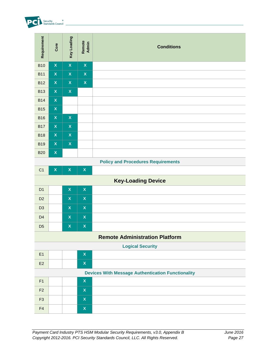

| Requirement    | Core               | Key Loading               | Remote<br>Admin    | <b>Conditions</b>                                                                                                                                               |                      |
|----------------|--------------------|---------------------------|--------------------|-----------------------------------------------------------------------------------------------------------------------------------------------------------------|----------------------|
| <b>B10</b>     | $\pmb{\mathsf{X}}$ | $\mathsf X$               | $\pmb{\mathsf{X}}$ |                                                                                                                                                                 |                      |
| <b>B11</b>     | $\mathbf x$        | $\mathsf X$               | $\mathbf{x}$       |                                                                                                                                                                 |                      |
| <b>B12</b>     | $\pmb{\mathsf{X}}$ | $\mathsf{X}$              | $\pmb{\mathsf{X}}$ |                                                                                                                                                                 |                      |
| <b>B13</b>     | $\mathbf x$        | $\mathbf x$               |                    |                                                                                                                                                                 |                      |
| <b>B14</b>     | $\pmb{\mathsf{X}}$ |                           |                    |                                                                                                                                                                 |                      |
| <b>B15</b>     | $\pmb{\mathsf{X}}$ |                           |                    |                                                                                                                                                                 |                      |
| <b>B16</b>     | $\pmb{\mathsf{X}}$ | $\mathsf X$               |                    |                                                                                                                                                                 |                      |
| <b>B17</b>     | $\pmb{\mathsf{X}}$ | $\boldsymbol{\mathsf{X}}$ |                    |                                                                                                                                                                 |                      |
| <b>B18</b>     | $\mathsf X$        | $\mathsf{X}$              |                    |                                                                                                                                                                 |                      |
| <b>B19</b>     | $\pmb{\mathsf{X}}$ | $\boldsymbol{\mathsf{X}}$ |                    |                                                                                                                                                                 |                      |
| <b>B20</b>     | $\pmb{\mathsf{X}}$ |                           |                    |                                                                                                                                                                 |                      |
|                |                    |                           |                    | <b>Policy and Procedures Requirements</b>                                                                                                                       |                      |
| C <sub>1</sub> | $\bar{\mathbf{X}}$ | $\mathsf X$               | $\pmb{\mathsf{X}}$ |                                                                                                                                                                 |                      |
|                |                    |                           |                    | <b>Key-Loading Device</b>                                                                                                                                       |                      |
| D <sub>1</sub> |                    | $\pmb{\mathsf{X}}$        | $\pmb{\mathsf{X}}$ |                                                                                                                                                                 |                      |
| D <sub>2</sub> |                    | $\mathbf x$               | $\pmb{\mathsf{X}}$ |                                                                                                                                                                 |                      |
| D <sub>3</sub> |                    | $\mathbf x$               | $\pmb{\mathsf{X}}$ |                                                                                                                                                                 |                      |
| D <sub>4</sub> |                    | $\mathsf X$               | $\mathsf X$        |                                                                                                                                                                 |                      |
| D <sub>5</sub> |                    | $\boldsymbol{\mathsf{X}}$ | $\pmb{\mathsf{X}}$ |                                                                                                                                                                 |                      |
|                |                    |                           |                    | <b>Remote Administration Platform</b>                                                                                                                           |                      |
|                |                    |                           |                    | <b>Logical Security</b>                                                                                                                                         |                      |
| E1             |                    |                           | $\pmb{\mathsf{X}}$ |                                                                                                                                                                 |                      |
| E2             |                    |                           | $\pmb{\mathsf{X}}$ |                                                                                                                                                                 |                      |
|                |                    |                           |                    | <b>Devices With Message Authentication Functionality</b>                                                                                                        |                      |
| F1             |                    |                           | $\pmb{\mathsf{X}}$ |                                                                                                                                                                 |                      |
| F <sub>2</sub> |                    |                           | $\mathsf X$        |                                                                                                                                                                 |                      |
| F <sub>3</sub> |                    |                           | $\pmb{\mathsf{X}}$ |                                                                                                                                                                 |                      |
| F4             |                    |                           | $\pmb{\mathsf{X}}$ |                                                                                                                                                                 |                      |
|                |                    |                           |                    |                                                                                                                                                                 |                      |
|                |                    |                           |                    |                                                                                                                                                                 |                      |
|                |                    |                           |                    | Payment Card Industry PTS HSM Modular Security Requirements, v3.0, Appendix B<br>Copyright 2012-2016. PCI Security Standards Council, LLC. All Rights Reserved. | June 2016<br>Page 27 |

#### **Policy and Procedures Requirements**

| C <sub>1</sub> | X                         | X            | $\boldsymbol{\mathsf{X}}$ |  |  |  |  |
|----------------|---------------------------|--------------|---------------------------|--|--|--|--|
|                | <b>Key-Loading Device</b> |              |                           |  |  |  |  |
| D <sub>1</sub> |                           | X            | <b>X</b>                  |  |  |  |  |
| D <sub>2</sub> |                           | $\mathsf{X}$ | $\boldsymbol{\mathsf{X}}$ |  |  |  |  |
| D <sub>3</sub> |                           | X.           | $\mathbf x$               |  |  |  |  |
| D <sub>4</sub> |                           | $\mathsf{x}$ | $\overline{\mathbf{X}}$   |  |  |  |  |
| D <sub>5</sub> |                           | X            | $\overline{\mathbf{x}}$   |  |  |  |  |

#### **Remote Administration Platform**

| E1                                                       |  |  | $\boldsymbol{\mathsf{X}}$ |  |
|----------------------------------------------------------|--|--|---------------------------|--|
| E2                                                       |  |  | $\boldsymbol{\mathsf{X}}$ |  |
| <b>Devices With Message Authentication Functionality</b> |  |  |                           |  |
| F <sub>1</sub>                                           |  |  | $\boldsymbol{\mathsf{X}}$ |  |
| F2                                                       |  |  | <b>X</b>                  |  |
| F <sub>3</sub>                                           |  |  | Χ                         |  |
| F <sub>4</sub>                                           |  |  | X                         |  |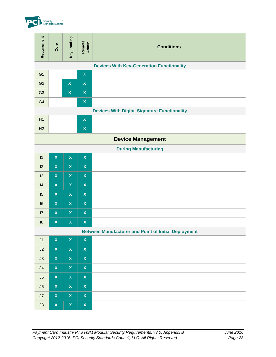

| Requirement    | Core                                             | Key Loading               | Remote<br>Admin    | <b>Conditions</b>                                                                                                                                                                       |  |  |  |  |
|----------------|--------------------------------------------------|---------------------------|--------------------|-----------------------------------------------------------------------------------------------------------------------------------------------------------------------------------------|--|--|--|--|
|                | <b>Devices With Key-Generation Functionality</b> |                           |                    |                                                                                                                                                                                         |  |  |  |  |
| G <sub>1</sub> |                                                  |                           | $\pmb{\mathsf{X}}$ |                                                                                                                                                                                         |  |  |  |  |
| G <sub>2</sub> |                                                  | $\mathsf X$               | $\pmb{\mathsf{X}}$ |                                                                                                                                                                                         |  |  |  |  |
| G <sub>3</sub> |                                                  | $\mathbf x$               | $\mathsf X$        |                                                                                                                                                                                         |  |  |  |  |
| G <sub>4</sub> |                                                  |                           | $\pmb{\mathsf{X}}$ |                                                                                                                                                                                         |  |  |  |  |
|                |                                                  |                           |                    | <b>Devices With Digital Signature Functionality</b>                                                                                                                                     |  |  |  |  |
| H1             |                                                  |                           | $\pmb{\mathsf{X}}$ |                                                                                                                                                                                         |  |  |  |  |
| H2             |                                                  |                           | $\pmb{\mathsf{X}}$ |                                                                                                                                                                                         |  |  |  |  |
|                |                                                  |                           |                    | <b>Device Management</b>                                                                                                                                                                |  |  |  |  |
|                |                                                  |                           |                    | <b>During Manufacturing</b>                                                                                                                                                             |  |  |  |  |
| 11             | $\pmb{\mathsf{X}}$                               | $\boldsymbol{\mathsf{X}}$ | $\pmb{\mathsf{X}}$ |                                                                                                                                                                                         |  |  |  |  |
| 12             | $\pmb{\mathsf{X}}$                               | $\mathsf{X}$              | $\pmb{\mathsf{X}}$ |                                                                                                                                                                                         |  |  |  |  |
| 13             | $\pmb{\mathsf{X}}$                               | $\pmb{\mathsf{X}}$        | $\pmb{\mathsf{X}}$ |                                                                                                                                                                                         |  |  |  |  |
| 4              | $\mathsf{X}$                                     | $\pmb{\mathsf{X}}$        | $\pmb{\mathsf{X}}$ |                                                                                                                                                                                         |  |  |  |  |
| 15             | $\overline{\mathbf{X}}$                          | $\pmb{\mathsf{X}}$        | $\pmb{\mathsf{X}}$ |                                                                                                                                                                                         |  |  |  |  |
| 6              | $\pmb{\mathsf{X}}$                               | $\mathsf{X}$              | $\pmb{\mathsf{X}}$ |                                                                                                                                                                                         |  |  |  |  |
| 17             | $\pmb{\mathsf{X}}$                               | $\pmb{\mathsf{X}}$        | $\pmb{\mathsf{X}}$ |                                                                                                                                                                                         |  |  |  |  |
| 18             | $\pmb{\mathsf{X}}$                               | $\pmb{\mathsf{X}}$        | $\pmb{\mathsf{X}}$ |                                                                                                                                                                                         |  |  |  |  |
|                |                                                  |                           |                    | <b>Between Manufacturer and Point of Initial Deployment</b>                                                                                                                             |  |  |  |  |
| J1             | $\mathsf{X}$                                     | $\pmb{\mathsf{X}}$        | $\pmb{\mathsf{X}}$ |                                                                                                                                                                                         |  |  |  |  |
| J2             | $\mathsf{X}$                                     | $\boldsymbol{\mathsf{X}}$ | $\pmb{\mathsf{X}}$ |                                                                                                                                                                                         |  |  |  |  |
| J3             | $\mathsf X$                                      | $\pmb{\mathsf{X}}$        | $\pmb{\mathsf{X}}$ |                                                                                                                                                                                         |  |  |  |  |
| J <sub>4</sub> | $\mathsf X$                                      | $\pmb{\mathsf{X}}$        | $\pmb{\mathsf{X}}$ |                                                                                                                                                                                         |  |  |  |  |
| J5             | $\mathsf X$                                      | $\boldsymbol{\mathsf{X}}$ | $\pmb{\mathsf{X}}$ |                                                                                                                                                                                         |  |  |  |  |
| J6             | $\bar{\mathbf{X}}$                               | $\pmb{\mathsf{X}}$        | $\pmb{\mathsf{X}}$ |                                                                                                                                                                                         |  |  |  |  |
| J7             | $\mathbf x$                                      | $\mathsf{X}$              | $\pmb{\mathsf{X}}$ |                                                                                                                                                                                         |  |  |  |  |
| J8             | $\mathsf X$                                      | $\pmb{\mathsf{X}}$        | $\pmb{\mathsf{X}}$ |                                                                                                                                                                                         |  |  |  |  |
|                |                                                  |                           |                    |                                                                                                                                                                                         |  |  |  |  |
|                |                                                  |                           |                    | Payment Card Industry PTS HSM Modular Security Requirements, v3.0, Appendix B<br>June 2016<br>Copyright 2012-2016. PCI Security Standards Council, LLC. All Rights Reserved.<br>Page 28 |  |  |  |  |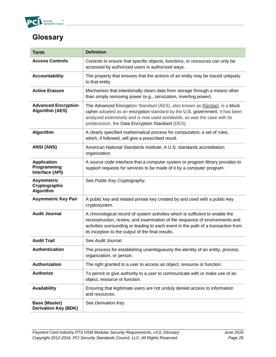

### **Glossary**

| <b>Term</b>                                          | <b>Definition</b>                                                                                                                                                                                                                                                                                      |
|------------------------------------------------------|--------------------------------------------------------------------------------------------------------------------------------------------------------------------------------------------------------------------------------------------------------------------------------------------------------|
| <b>Access Controls</b>                               | Controls to ensure that specific objects, functions, or resources can only be<br>accessed by authorized users in authorized ways.                                                                                                                                                                      |
| <b>Accountability</b>                                | The property that ensures that the actions of an entity may be traced uniquely<br>to that entity.                                                                                                                                                                                                      |
| <b>Active Erasure</b>                                | Mechanism that intentionally clears data from storage through a means other<br>than simply removing power (e.g., zeroization, inverting power).                                                                                                                                                        |
| <b>Advanced Encryption</b><br><b>Algorithm (AES)</b> | The Advanced Encryption Standard (AES), also known as Rijndael, is a block<br>cipher adopted as an encryption standard by the U.S. government. It has been<br>analyzed extensively and is now used worldwide, as was the case with its<br>predecessor, the Data Encryption Standard (DES).             |
| Algorithm                                            | A clearly specified mathematical process for computation; a set of rules,<br>which, if followed, will give a prescribed result.                                                                                                                                                                        |
| <b>ANSI (ANS)</b>                                    | American National Standards Institute. A U.S. standards accreditation<br>organization.                                                                                                                                                                                                                 |
| <b>Application</b><br>Programming<br>Interface (API) | A source code interface that a computer system or program library provides to<br>support requests for services to be made of it by a computer program.                                                                                                                                                 |
| <b>Asymmetric</b><br>Cryptographic<br>Algorithm      | See Public Key Cryptography.                                                                                                                                                                                                                                                                           |
| <b>Asymmetric Key Pair</b>                           | A public key and related private key created by and used with a public-key<br>cryptosystem.                                                                                                                                                                                                            |
| <b>Audit Journal</b>                                 | A chronological record of system activities which is sufficient to enable the<br>reconstruction, review, and examination of the sequence of environments and<br>activities surrounding or leading to each event in the path of a transaction from<br>its inception to the output of the final results. |
| <b>Audit Trail</b>                                   | See Audit Journal.                                                                                                                                                                                                                                                                                     |
| <b>Authentication</b>                                | The process for establishing unambiguously the identity of an entity, process,<br>organization, or person.                                                                                                                                                                                             |
| Authorization                                        | The right granted to a user to access an object, resource or function.                                                                                                                                                                                                                                 |
| <b>Authorize</b>                                     | To permit or give authority to a user to communicate with or make use of an<br>object, resource or function.                                                                                                                                                                                           |
| <b>Availability</b>                                  | Ensuring that legitimate users are not unduly denied access to information<br>and resources.                                                                                                                                                                                                           |
| <b>Base (Master)</b><br><b>Derivation Key (BDK)</b>  | See Derivation Key.                                                                                                                                                                                                                                                                                    |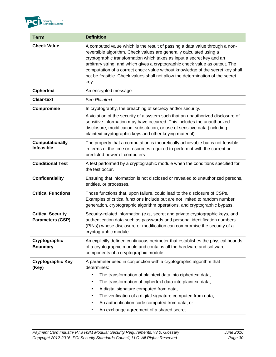

| <b>Term</b>                                         | <b>Definition</b>                                                                                                                                                                                                                                                                                                                                                                                                                                                                      |
|-----------------------------------------------------|----------------------------------------------------------------------------------------------------------------------------------------------------------------------------------------------------------------------------------------------------------------------------------------------------------------------------------------------------------------------------------------------------------------------------------------------------------------------------------------|
| <b>Check Value</b>                                  | A computed value which is the result of passing a data value through a non-<br>reversible algorithm. Check values are generally calculated using a<br>cryptographic transformation which takes as input a secret key and an<br>arbitrary string, and which gives a cryptographic check value as output. The<br>computation of a correct check value without knowledge of the secret key shall<br>not be feasible. Check values shall not allow the determination of the secret<br>key. |
| <b>Ciphertext</b>                                   | An encrypted message.                                                                                                                                                                                                                                                                                                                                                                                                                                                                  |
| <b>Clear-text</b>                                   | See Plaintext.                                                                                                                                                                                                                                                                                                                                                                                                                                                                         |
| Compromise                                          | In cryptography, the breaching of secrecy and/or security.<br>A violation of the security of a system such that an unauthorized disclosure of<br>sensitive information may have occurred. This includes the unauthorized<br>disclosure, modification, substitution, or use of sensitive data (including<br>plaintext cryptographic keys and other keying material).                                                                                                                    |
| Computationally<br><b>Infeasible</b>                | The property that a computation is theoretically achievable but is not feasible<br>in terms of the time or resources required to perform it with the current or<br>predicted power of computers.                                                                                                                                                                                                                                                                                       |
| <b>Conditional Test</b>                             | A test performed by a cryptographic module when the conditions specified for<br>the test occur.                                                                                                                                                                                                                                                                                                                                                                                        |
| <b>Confidentiality</b>                              | Ensuring that information is not disclosed or revealed to unauthorized persons,<br>entities, or processes.                                                                                                                                                                                                                                                                                                                                                                             |
| <b>Critical Functions</b>                           | Those functions that, upon failure, could lead to the disclosure of CSPs.<br>Examples of critical functions include but are not limited to random number<br>generation, cryptographic algorithm operations, and cryptographic bypass.                                                                                                                                                                                                                                                  |
| <b>Critical Security</b><br><b>Parameters (CSP)</b> | Security-related information (e.g., secret and private cryptographic keys, and<br>authentication data such as passwords and personal identification numbers<br>(PINs)) whose disclosure or modification can compromise the security of a<br>cryptographic module.                                                                                                                                                                                                                      |
| Cryptographic<br><b>Boundary</b>                    | An explicitly defined continuous perimeter that establishes the physical bounds<br>of a cryptographic module and contains all the hardware and software<br>components of a cryptographic module.                                                                                                                                                                                                                                                                                       |
| <b>Cryptographic Key</b><br>(Key)                   | A parameter used in conjunction with a cryptographic algorithm that<br>determines:<br>The transformation of plaintext data into ciphertext data,<br>٠<br>The transformation of ciphertext data into plaintext data,<br>٠<br>A digital signature computed from data,<br>٠<br>The verification of a digital signature computed from data,<br>п<br>An authentication code computed from data, or<br>ш<br>An exchange agreement of a shared secret.                                        |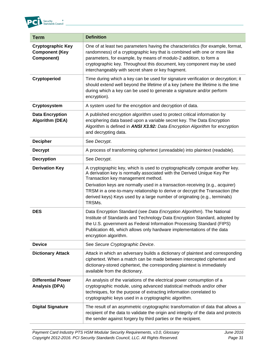

| <b>Term</b>                                                     | <b>Definition</b>                                                                                                                                                                                                                                                                                                                                                                                                                                      |
|-----------------------------------------------------------------|--------------------------------------------------------------------------------------------------------------------------------------------------------------------------------------------------------------------------------------------------------------------------------------------------------------------------------------------------------------------------------------------------------------------------------------------------------|
| <b>Cryptographic Key</b><br><b>Component (Key</b><br>Component) | One of at least two parameters having the characteristics (for example, format,<br>randomness) of a cryptographic key that is combined with one or more like<br>parameters, for example, by means of modulo-2 addition, to form a<br>cryptographic key. Throughout this document, key component may be used<br>interchangeably with secret share or key fragment.                                                                                      |
| Cryptoperiod                                                    | Time during which a key can be used for signature verification or decryption; it<br>should extend well beyond the lifetime of a key (where the lifetime is the time<br>during which a key can be used to generate a signature and/or perform<br>encryption).                                                                                                                                                                                           |
| Cryptosystem                                                    | A system used for the encryption and decryption of data.                                                                                                                                                                                                                                                                                                                                                                                               |
| <b>Data Encryption</b><br><b>Algorithm (DEA)</b>                | A published encryption algorithm used to protect critical information by<br>enciphering data based upon a variable secret key. The Data Encryption<br>Algorithm is defined in ANSI X3.92: Data Encryption Algorithm for encryption<br>and decrypting data.                                                                                                                                                                                             |
| <b>Decipher</b>                                                 | See Decrypt.                                                                                                                                                                                                                                                                                                                                                                                                                                           |
| <b>Decrypt</b>                                                  | A process of transforming ciphertext (unreadable) into plaintext (readable).                                                                                                                                                                                                                                                                                                                                                                           |
| <b>Decryption</b>                                               | See Decrypt.                                                                                                                                                                                                                                                                                                                                                                                                                                           |
| <b>Derivation Key</b>                                           | A cryptographic key, which is used to cryptographically compute another key.<br>A derivation key is normally associated with the Derived Unique Key Per<br>Transaction key management method.<br>Derivation keys are normally used in a transaction-receiving (e.g., acquirer)<br>TRSM in a one-to-many relationship to derive or decrypt the Transaction (the<br>derived keys) Keys used by a large number of originating (e.g., terminals)<br>TRSMs. |
| <b>DES</b>                                                      | Data Encryption Standard (see Data Encryption Algorithm). The National<br>Institute of Standards and Technology Data Encryption Standard, adopted by<br>the U.S. government as Federal Information Processing Standard (FIPS)<br>Publication 46, which allows only hardware implementations of the data<br>encryption algorithm.                                                                                                                       |
| <b>Device</b>                                                   | See Secure Cryptographic Device.                                                                                                                                                                                                                                                                                                                                                                                                                       |
| <b>Dictionary Attack</b>                                        | Attack in which an adversary builds a dictionary of plaintext and corresponding<br>ciphertext. When a match can be made between intercepted ciphertext and<br>dictionary-stored ciphertext, the corresponding plaintext is immediately<br>available from the dictionary.                                                                                                                                                                               |
| <b>Differential Power</b><br><b>Analysis (DPA)</b>              | An analysis of the variations of the electrical power consumption of a<br>cryptographic module, using advanced statistical methods and/or other<br>techniques, for the purpose of extracting information correlated to<br>cryptographic keys used in a cryptographic algorithm.                                                                                                                                                                        |
| <b>Digital Signature</b>                                        | The result of an asymmetric cryptographic transformation of data that allows a<br>recipient of the data to validate the origin and integrity of the data and protects<br>the sender against forgery by third parties or the recipient.                                                                                                                                                                                                                 |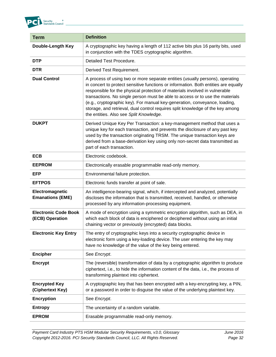

| <b>Term</b>                                    | <b>Definition</b>                                                                                                                                                                                                                                                                                                                                                                                                                                                                                                                               |
|------------------------------------------------|-------------------------------------------------------------------------------------------------------------------------------------------------------------------------------------------------------------------------------------------------------------------------------------------------------------------------------------------------------------------------------------------------------------------------------------------------------------------------------------------------------------------------------------------------|
| <b>Double-Length Key</b>                       | A cryptographic key having a length of 112 active bits plus 16 parity bits, used<br>in conjunction with the TDES cryptographic algorithm.                                                                                                                                                                                                                                                                                                                                                                                                       |
| <b>DTP</b>                                     | Detailed Test Procedure.                                                                                                                                                                                                                                                                                                                                                                                                                                                                                                                        |
| <b>DTR</b>                                     | Derived Test Requirement.                                                                                                                                                                                                                                                                                                                                                                                                                                                                                                                       |
| <b>Dual Control</b>                            | A process of using two or more separate entities (usually persons), operating<br>in concert to protect sensitive functions or information. Both entities are equally<br>responsible for the physical protection of materials involved in vulnerable<br>transactions. No single person must be able to access or to use the materials<br>(e.g., cryptographic key). For manual key-generation, conveyance, loading,<br>storage, and retrieval, dual control requires split knowledge of the key among<br>the entities. Also see Split Knowledge. |
| <b>DUKPT</b>                                   | Derived Unique Key Per Transaction: a key-management method that uses a<br>unique key for each transaction, and prevents the disclosure of any past key<br>used by the transaction originating TRSM. The unique transaction keys are<br>derived from a base-derivation key using only non-secret data transmitted as<br>part of each transaction.                                                                                                                                                                                               |
| <b>ECB</b>                                     | Electronic codebook.                                                                                                                                                                                                                                                                                                                                                                                                                                                                                                                            |
| <b>EEPROM</b>                                  | Electronically erasable programmable read-only memory.                                                                                                                                                                                                                                                                                                                                                                                                                                                                                          |
| <b>EFP</b>                                     | Environmental failure protection.                                                                                                                                                                                                                                                                                                                                                                                                                                                                                                               |
| <b>EFTPOS</b>                                  | Electronic funds transfer at point of sale.                                                                                                                                                                                                                                                                                                                                                                                                                                                                                                     |
| Electromagnetic<br><b>Emanations (EME)</b>     | An intelligence-bearing signal, which, if intercepted and analyzed, potentially<br>discloses the information that is transmitted, received, handled, or otherwise<br>processed by any information-processing equipment.                                                                                                                                                                                                                                                                                                                         |
| <b>Electronic Code Book</b><br>(ECB) Operation | A mode of encryption using a symmetric encryption algorithm, such as DEA, in<br>which each block of data is enciphered or deciphered without using an initial<br>chaining vector or previously (encrypted) data blocks.                                                                                                                                                                                                                                                                                                                         |
| <b>Electronic Key Entry</b>                    | The entry of cryptographic keys into a security cryptographic device in<br>electronic form using a key-loading device. The user entering the key may<br>have no knowledge of the value of the key being entered.                                                                                                                                                                                                                                                                                                                                |
| <b>Encipher</b>                                | See Encrypt.                                                                                                                                                                                                                                                                                                                                                                                                                                                                                                                                    |
| <b>Encrypt</b>                                 | The (reversible) transformation of data by a cryptographic algorithm to produce<br>ciphertext, i.e., to hide the information content of the data, i.e., the process of<br>transforming plaintext into ciphertext.                                                                                                                                                                                                                                                                                                                               |
| <b>Encrypted Key</b><br>(Ciphertext Key)       | A cryptographic key that has been encrypted with a key-encrypting key, a PIN,<br>or a password in order to disguise the value of the underlying plaintext key.                                                                                                                                                                                                                                                                                                                                                                                  |
| <b>Encryption</b>                              | See Encrypt.                                                                                                                                                                                                                                                                                                                                                                                                                                                                                                                                    |
| <b>Entropy</b>                                 | The uncertainty of a random variable.                                                                                                                                                                                                                                                                                                                                                                                                                                                                                                           |
| <b>EPROM</b>                                   | Erasable programmable read-only memory.                                                                                                                                                                                                                                                                                                                                                                                                                                                                                                         |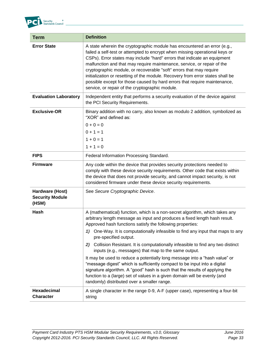

| <b>Term</b>                                        | <b>Definition</b>                                                                                                                                                                                                                                                                                                                                                                                                                                                                                                                                                                                                                                                                                                                                                                                                                                        |
|----------------------------------------------------|----------------------------------------------------------------------------------------------------------------------------------------------------------------------------------------------------------------------------------------------------------------------------------------------------------------------------------------------------------------------------------------------------------------------------------------------------------------------------------------------------------------------------------------------------------------------------------------------------------------------------------------------------------------------------------------------------------------------------------------------------------------------------------------------------------------------------------------------------------|
| <b>Error State</b>                                 | A state wherein the cryptographic module has encountered an error (e.g.,<br>failed a self-test or attempted to encrypt when missing operational keys or<br>CSPs). Error states may include "hard" errors that indicate an equipment<br>malfunction and that may require maintenance, service, or repair of the<br>cryptographic module, or recoverable "soft" errors that may require<br>initialization or resetting of the module. Recovery from error states shall be<br>possible except for those caused by hard errors that require maintenance,<br>service, or repair of the cryptographic module.                                                                                                                                                                                                                                                  |
| <b>Evaluation Laboratory</b>                       | Independent entity that performs a security evaluation of the device against<br>the PCI Security Requirements.                                                                                                                                                                                                                                                                                                                                                                                                                                                                                                                                                                                                                                                                                                                                           |
| <b>Exclusive-OR</b>                                | Binary addition with no carry, also known as modulo 2 addition, symbolized as<br>"XOR" and defined as:<br>$0 + 0 = 0$<br>$0 + 1 = 1$<br>$1 + 0 = 1$<br>$1 + 1 = 0$                                                                                                                                                                                                                                                                                                                                                                                                                                                                                                                                                                                                                                                                                       |
| <b>FIPS</b>                                        | Federal Information Processing Standard.                                                                                                                                                                                                                                                                                                                                                                                                                                                                                                                                                                                                                                                                                                                                                                                                                 |
| <b>Firmware</b>                                    | Any code within the device that provides security protections needed to<br>comply with these device security requirements. Other code that exists within<br>the device that does not provide security, and cannot impact security, is not<br>considered firmware under these device security requirements.                                                                                                                                                                                                                                                                                                                                                                                                                                                                                                                                               |
| Hardware (Host)<br><b>Security Module</b><br>(HSM) | See Secure Cryptographic Device.                                                                                                                                                                                                                                                                                                                                                                                                                                                                                                                                                                                                                                                                                                                                                                                                                         |
| <b>Hash</b>                                        | A (mathematical) function, which is a non-secret algorithm, which takes any<br>arbitrary length message as input and produces a fixed length hash result.<br>Approved hash functions satisfy the following properties:<br>1) One-Way. It is computationally infeasible to find any input that maps to any<br>pre-specified output.<br>Collision Resistant. It is computationally infeasible to find any two distinct<br>2)<br>inputs (e.g., messages) that map to the same output.<br>It may be used to reduce a potentially long message into a "hash value" or<br>"message digest" which is sufficiently compact to be input into a digital<br>signature algorithm. A "good" hash is such that the results of applying the<br>function to a (large) set of values in a given domain will be evenly (and<br>randomly) distributed over a smaller range. |
| Hexadecimal<br><b>Character</b>                    | A single character in the range 0-9, A-F (upper case), representing a four-bit<br>string                                                                                                                                                                                                                                                                                                                                                                                                                                                                                                                                                                                                                                                                                                                                                                 |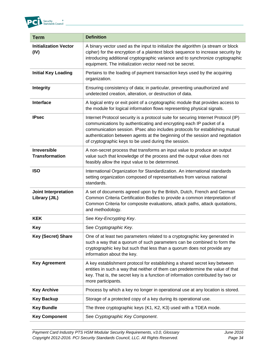

| <b>Term</b>                                  | <b>Definition</b>                                                                                                                                                                                                                                                                                                                                                                  |
|----------------------------------------------|------------------------------------------------------------------------------------------------------------------------------------------------------------------------------------------------------------------------------------------------------------------------------------------------------------------------------------------------------------------------------------|
| <b>Initialization Vector</b><br>(IV)         | A binary vector used as the input to initialize the algorithm (a stream or block<br>cipher) for the encryption of a plaintext block sequence to increase security by<br>introducing additional cryptographic variance and to synchronize cryptographic<br>equipment. The initialization vector need not be secret.                                                                 |
| <b>Initial Key Loading</b>                   | Pertains to the loading of payment transaction keys used by the acquiring<br>organization.                                                                                                                                                                                                                                                                                         |
| <b>Integrity</b>                             | Ensuring consistency of data; in particular, preventing unauthorized and<br>undetected creation, alteration, or destruction of data.                                                                                                                                                                                                                                               |
| Interface                                    | A logical entry or exit point of a cryptographic module that provides access to<br>the module for logical information flows representing physical signals.                                                                                                                                                                                                                         |
| <b>IPsec</b>                                 | Internet Protocol security is a protocol suite for securing Internet Protocol (IP)<br>communications by authenticating and encrypting each IP packet of a<br>communication session. IPsec also includes protocols for establishing mutual<br>authentication between agents at the beginning of the session and negotiation<br>of cryptographic keys to be used during the session. |
| <b>Irreversible</b><br><b>Transformation</b> | A non-secret process that transforms an input value to produce an output<br>value such that knowledge of the process and the output value does not<br>feasibly allow the input value to be determined.                                                                                                                                                                             |
| <b>ISO</b>                                   | International Organization for Standardization. An international standards<br>setting organization composed of representatives from various national<br>standards.                                                                                                                                                                                                                 |
| <b>Joint Interpretation</b><br>Library (JIL) | A set of documents agreed upon by the British, Dutch, French and German<br>Common Criteria Certification Bodies to provide a common interpretation of<br>Common Criteria for composite evaluations, attack paths, attack quotations,<br>and methodology.                                                                                                                           |
| <b>KEK</b>                                   | See Key-Encrypting Key.                                                                                                                                                                                                                                                                                                                                                            |
| Key                                          | See Cryptographic Key.                                                                                                                                                                                                                                                                                                                                                             |
| Key (Secret) Share                           | One of at least two parameters related to a cryptographic key generated in<br>such a way that a quorum of such parameters can be combined to form the<br>cryptographic key but such that less than a quorum does not provide any<br>information about the key.                                                                                                                     |
| <b>Key Agreement</b>                         | A key establishment protocol for establishing a shared secret key between<br>entities in such a way that neither of them can predetermine the value of that<br>key. That is, the secret key is a function of information contributed by two or<br>more participants.                                                                                                               |
| <b>Key Archive</b>                           | Process by which a key no longer in operational use at any location is stored.                                                                                                                                                                                                                                                                                                     |
| <b>Key Backup</b>                            | Storage of a protected copy of a key during its operational use.                                                                                                                                                                                                                                                                                                                   |
| <b>Key Bundle</b>                            | The three cryptographic keys (K1, K2, K3) used with a TDEA mode.                                                                                                                                                                                                                                                                                                                   |
| <b>Key Component</b>                         | See Cryptographic Key Component.                                                                                                                                                                                                                                                                                                                                                   |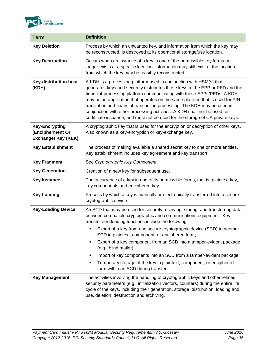

| <b>Term</b>                                                      | <b>Definition</b>                                                                                                                                                                                                                                                                                                                                                                                                                                                                                                                                          |
|------------------------------------------------------------------|------------------------------------------------------------------------------------------------------------------------------------------------------------------------------------------------------------------------------------------------------------------------------------------------------------------------------------------------------------------------------------------------------------------------------------------------------------------------------------------------------------------------------------------------------------|
| <b>Key Deletion</b>                                              | Process by which an unwanted key, and information from which the key may<br>be reconstructed, is destroyed at its operational storage/use location.                                                                                                                                                                                                                                                                                                                                                                                                        |
| <b>Key Destruction</b>                                           | Occurs when an instance of a key in one of the permissible key forms no<br>longer exists at a specific location. Information may still exist at the location<br>from which the key may be feasibly reconstructed.                                                                                                                                                                                                                                                                                                                                          |
| <b>Key-distribution host</b><br>(KDH)                            | A KDH is a processing platform used in conjunction with HSM(s) that<br>generates keys and securely distributes those keys to the EPP or PED and the<br>financial-processing platform communicating with those EPPs/PEDs. A KDH<br>may be an application that operates on the same platform that is used for PIN<br>translation and financial-transaction processing. The KDH may be used in<br>conjunction with other processing activities. A KDH shall not be used for<br>certificate issuance, and must not be used for the storage of CA private keys. |
| <b>Key-Encrypting</b><br>(Encipherment Or<br>Exchange) Key (KEK) | A cryptographic key that is used for the encryption or decryption of other keys.<br>Also known as a key-encryption or key-exchange key.                                                                                                                                                                                                                                                                                                                                                                                                                    |
| <b>Key Establishment</b>                                         | The process of making available a shared secret key to one or more entities.<br>Key establishment includes key agreement and key transport.                                                                                                                                                                                                                                                                                                                                                                                                                |
| <b>Key Fragment</b>                                              | See Cryptographic Key Component.                                                                                                                                                                                                                                                                                                                                                                                                                                                                                                                           |
| <b>Key Generation</b>                                            | Creation of a new key for subsequent use.                                                                                                                                                                                                                                                                                                                                                                                                                                                                                                                  |
| <b>Key Instance</b>                                              | The occurrence of a key in one of its permissible forms, that is, plaintext key,<br>key components and enciphered key.                                                                                                                                                                                                                                                                                                                                                                                                                                     |
| <b>Key Loading</b>                                               | Process by which a key is manually or electronically transferred into a secure<br>cryptographic device.                                                                                                                                                                                                                                                                                                                                                                                                                                                    |
| <b>Key-Loading Device</b>                                        | An SCD that may be used for securely receiving, storing, and transferring data<br>between compatible cryptographic and communications equipment. Key-<br>transfer and loading functions include the following:                                                                                                                                                                                                                                                                                                                                             |
|                                                                  | Export of a key from one secure cryptographic device (SCD) to another<br>SCD in plaintext, component, or enciphered form;                                                                                                                                                                                                                                                                                                                                                                                                                                  |
|                                                                  | Export of a key component from an SCD into a tamper-evident package<br>٠<br>(e.g., blind mailer);                                                                                                                                                                                                                                                                                                                                                                                                                                                          |
|                                                                  | Import of key components into an SCD from a tamper-evident package;<br>п                                                                                                                                                                                                                                                                                                                                                                                                                                                                                   |
|                                                                  | Temporary storage of the key in plaintext, component, or enciphered<br>٠<br>form within an SCD during transfer.                                                                                                                                                                                                                                                                                                                                                                                                                                            |
| <b>Key Management</b>                                            | The activities involving the handling of cryptographic keys and other related<br>security parameters (e.g., initialization vectors, counters) during the entire life<br>cycle of the keys, including their generation, storage, distribution, loading and<br>use, deletion, destruction and archiving.                                                                                                                                                                                                                                                     |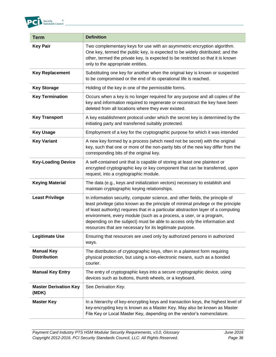

| <b>Term</b>                              | <b>Definition</b>                                                                                                                                                                                                                                                                                                                                                                                                                                                         |
|------------------------------------------|---------------------------------------------------------------------------------------------------------------------------------------------------------------------------------------------------------------------------------------------------------------------------------------------------------------------------------------------------------------------------------------------------------------------------------------------------------------------------|
| <b>Key Pair</b>                          | Two complementary keys for use with an asymmetric encryption algorithm.<br>One key, termed the public key, is expected to be widely distributed; and the<br>other, termed the private key, is expected to be restricted so that it is known<br>only to the appropriate entities.                                                                                                                                                                                          |
| <b>Key Replacement</b>                   | Substituting one key for another when the original key is known or suspected<br>to be compromised or the end of its operational life is reached.                                                                                                                                                                                                                                                                                                                          |
| <b>Key Storage</b>                       | Holding of the key in one of the permissible forms.                                                                                                                                                                                                                                                                                                                                                                                                                       |
| <b>Key Termination</b>                   | Occurs when a key is no longer required for any purpose and all copies of the<br>key and information required to regenerate or reconstruct the key have been<br>deleted from all locations where they ever existed.                                                                                                                                                                                                                                                       |
| <b>Key Transport</b>                     | A key establishment protocol under which the secret key is determined by the<br>initiating party and transferred suitably protected.                                                                                                                                                                                                                                                                                                                                      |
| <b>Key Usage</b>                         | Employment of a key for the cryptographic purpose for which it was intended                                                                                                                                                                                                                                                                                                                                                                                               |
| <b>Key Variant</b>                       | A new key formed by a process (which need not be secret) with the original<br>key, such that one or more of the non-parity bits of the new key differ from the<br>corresponding bits of the original key.                                                                                                                                                                                                                                                                 |
| <b>Key-Loading Device</b>                | A self-contained unit that is capable of storing at least one plaintext or<br>encrypted cryptographic key or key component that can be transferred, upon<br>request, into a cryptographic module.                                                                                                                                                                                                                                                                         |
| <b>Keying Material</b>                   | The data (e.g., keys and initialization vectors) necessary to establish and<br>maintain cryptographic keying relationships.                                                                                                                                                                                                                                                                                                                                               |
| <b>Least Privilege</b>                   | In information security, computer science, and other fields, the principle of<br>least privilege (also known as the principle of minimal privilege or the principle<br>of least authority) requires that in a particular abstraction layer of a computing<br>environment, every module (such as a process, a user, or a program,<br>depending on the subject) must be able to access only the information and<br>resources that are necessary for its legitimate purpose. |
| <b>Legitimate Use</b>                    | Ensuring that resources are used only by authorized persons in authorized<br>ways.                                                                                                                                                                                                                                                                                                                                                                                        |
| <b>Manual Key</b><br><b>Distribution</b> | The distribution of cryptographic keys, often in a plaintext form requiring<br>physical protection, but using a non-electronic means, such as a bonded<br>courier.                                                                                                                                                                                                                                                                                                        |
| <b>Manual Key Entry</b>                  | The entry of cryptographic keys into a secure cryptographic device, using<br>devices such as buttons, thumb wheels, or a keyboard.                                                                                                                                                                                                                                                                                                                                        |
| <b>Master Derivation Key</b><br>(MDK)    | See Derivation Key.                                                                                                                                                                                                                                                                                                                                                                                                                                                       |
| <b>Master Key</b>                        | In a hierarchy of key-encrypting keys and transaction keys, the highest level of<br>key-encrypting key is known as a Master Key. May also be known as Master<br>File Key or Local Master Key, depending on the vendor's nomenclature.                                                                                                                                                                                                                                     |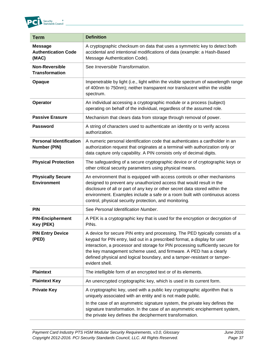

| <b>Term</b>                                           | <b>Definition</b>                                                                                                                                                                                                                                                                                                                                                                                                |
|-------------------------------------------------------|------------------------------------------------------------------------------------------------------------------------------------------------------------------------------------------------------------------------------------------------------------------------------------------------------------------------------------------------------------------------------------------------------------------|
| <b>Message</b><br><b>Authentication Code</b><br>(MAC) | A cryptographic checksum on data that uses a symmetric key to detect both<br>accidental and intentional modifications of data (example: a Hash-Based<br>Message Authentication Code).                                                                                                                                                                                                                            |
| <b>Non-Reversible</b><br><b>Transformation</b>        | See Irreversible Transformation.                                                                                                                                                                                                                                                                                                                                                                                 |
| Opaque                                                | Impenetrable by light (i.e., light within the visible spectrum of wavelength range<br>of 400nm to 750nm); neither transparent nor translucent within the visible<br>spectrum.                                                                                                                                                                                                                                    |
| Operator                                              | An individual accessing a cryptographic module or a process (subject)<br>operating on behalf of the individual, regardless of the assumed role.                                                                                                                                                                                                                                                                  |
| <b>Passive Erasure</b>                                | Mechanism that clears data from storage through removal of power.                                                                                                                                                                                                                                                                                                                                                |
| <b>Password</b>                                       | A string of characters used to authenticate an identity or to verify access<br>authorization.                                                                                                                                                                                                                                                                                                                    |
| <b>Personal Identification</b><br><b>Number (PIN)</b> | A numeric personal identification code that authenticates a cardholder in an<br>authorization request that originates at a terminal with authorization only or<br>data capture only capability. A PIN consists only of decimal digits.                                                                                                                                                                           |
| <b>Physical Protection</b>                            | The safeguarding of a secure cryptographic device or of cryptographic keys or<br>other critical security parameters using physical means.                                                                                                                                                                                                                                                                        |
| <b>Physically Secure</b><br><b>Environment</b>        | An environment that is equipped with access controls or other mechanisms<br>designed to prevent any unauthorized access that would result in the<br>disclosure of all or part of any key or other secret data stored within the<br>environment. Examples include a safe or a room built with continuous access<br>control, physical security protection, and monitoring.                                         |
| <b>PIN</b>                                            | See Personal Identification Number.                                                                                                                                                                                                                                                                                                                                                                              |
| <b>PIN-Encipherment</b><br>Key (PEK)                  | A PEK is a cryptographic key that is used for the encryption or decryption of<br>PIN <sub>s</sub> .                                                                                                                                                                                                                                                                                                              |
| <b>PIN Entry Device</b><br>(PED)                      | A device for secure PIN entry and processing. The PED typically consists of a<br>keypad for PIN entry, laid out in a prescribed format, a display for user<br>interaction, a processor and storage for PIN processing sufficiently secure for<br>the key management scheme used, and firmware. A PED has a clearly<br>defined physical and logical boundary, and a tamper-resistant or tamper-<br>evident shell. |
| <b>Plaintext</b>                                      | The intelligible form of an encrypted text or of its elements.                                                                                                                                                                                                                                                                                                                                                   |
| <b>Plaintext Key</b>                                  | An unencrypted cryptographic key, which is used in its current form.                                                                                                                                                                                                                                                                                                                                             |
| <b>Private Key</b>                                    | A cryptographic key, used with a public key cryptographic algorithm that is<br>uniquely associated with an entity and is not made public.                                                                                                                                                                                                                                                                        |
|                                                       | In the case of an asymmetric signature system, the private key defines the<br>signature transformation. In the case of an asymmetric encipherment system,<br>the private key defines the decipherment transformation.                                                                                                                                                                                            |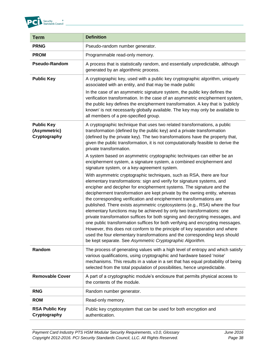

| <b>Term</b>                                       | <b>Definition</b>                                                                                                                                                                                                                                                                                                                                                                                                                                                                                                                                                                                                                                                                                                                                                                                                                                                                                                                  |
|---------------------------------------------------|------------------------------------------------------------------------------------------------------------------------------------------------------------------------------------------------------------------------------------------------------------------------------------------------------------------------------------------------------------------------------------------------------------------------------------------------------------------------------------------------------------------------------------------------------------------------------------------------------------------------------------------------------------------------------------------------------------------------------------------------------------------------------------------------------------------------------------------------------------------------------------------------------------------------------------|
| <b>PRNG</b>                                       | Pseudo-random number generator.                                                                                                                                                                                                                                                                                                                                                                                                                                                                                                                                                                                                                                                                                                                                                                                                                                                                                                    |
| <b>PROM</b>                                       | Programmable read-only memory.                                                                                                                                                                                                                                                                                                                                                                                                                                                                                                                                                                                                                                                                                                                                                                                                                                                                                                     |
| Pseudo-Random                                     | A process that is statistically random, and essentially unpredictable, although<br>generated by an algorithmic process.                                                                                                                                                                                                                                                                                                                                                                                                                                                                                                                                                                                                                                                                                                                                                                                                            |
| <b>Public Key</b>                                 | A cryptographic key, used with a public key cryptographic algorithm, uniquely<br>associated with an entity, and that may be made public                                                                                                                                                                                                                                                                                                                                                                                                                                                                                                                                                                                                                                                                                                                                                                                            |
|                                                   | In the case of an asymmetric signature system, the public key defines the<br>verification transformation. In the case of an asymmetric encipherment system,<br>the public key defines the encipherment transformation. A key that is 'publicly<br>known' is not necessarily globally available. The key may only be available to<br>all members of a pre-specified group.                                                                                                                                                                                                                                                                                                                                                                                                                                                                                                                                                          |
| <b>Public Key</b><br>(Asymmetric)<br>Cryptography | A cryptographic technique that uses two related transformations, a public<br>transformation (defined by the public key) and a private transformation<br>(defined by the private key). The two transformations have the property that,<br>given the public transformation, it is not computationally feasible to derive the<br>private transformation.                                                                                                                                                                                                                                                                                                                                                                                                                                                                                                                                                                              |
|                                                   | A system based on asymmetric cryptographic techniques can either be an<br>encipherment system, a signature system, a combined encipherment and<br>signature system, or a key-agreement system.                                                                                                                                                                                                                                                                                                                                                                                                                                                                                                                                                                                                                                                                                                                                     |
|                                                   | With asymmetric cryptographic techniques, such as RSA, there are four<br>elementary transformations: sign and verify for signature systems, and<br>encipher and decipher for encipherment systems. The signature and the<br>decipherment transformation are kept private by the owning entity, whereas<br>the corresponding verification and encipherment transformations are<br>published. There exists asymmetric cryptosystems (e.g., RSA) where the four<br>elementary functions may be achieved by only two transformations: one<br>private transformation suffices for both signing and decrypting messages, and<br>one public transformation suffices for both verifying and encrypting messages.<br>However, this does not conform to the principle of key separation and where<br>used the four elementary transformations and the corresponding keys should<br>be kept separate. See Asymmetric Cryptographic Algorithm. |
| Random                                            | The process of generating values with a high level of entropy and which satisfy<br>various qualifications, using cryptographic and hardware based 'noise'<br>mechanisms. This results in a value in a set that has equal probability of being<br>selected from the total population of possibilities, hence unpredictable.                                                                                                                                                                                                                                                                                                                                                                                                                                                                                                                                                                                                         |
| <b>Removable Cover</b>                            | A part of a cryptographic module's enclosure that permits physical access to<br>the contents of the module.                                                                                                                                                                                                                                                                                                                                                                                                                                                                                                                                                                                                                                                                                                                                                                                                                        |
| <b>RNG</b>                                        | Random number generator.                                                                                                                                                                                                                                                                                                                                                                                                                                                                                                                                                                                                                                                                                                                                                                                                                                                                                                           |
| <b>ROM</b>                                        | Read-only memory.                                                                                                                                                                                                                                                                                                                                                                                                                                                                                                                                                                                                                                                                                                                                                                                                                                                                                                                  |
| <b>RSA Public Key</b><br>Cryptography             | Public key cryptosystem that can be used for both encryption and<br>authentication.                                                                                                                                                                                                                                                                                                                                                                                                                                                                                                                                                                                                                                                                                                                                                                                                                                                |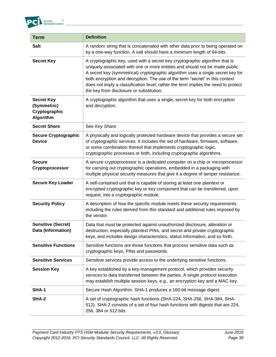

| <b>Term</b>                                                    | <b>Definition</b>                                                                                                                                                                                                                                                                                                                                                                                                                                                |
|----------------------------------------------------------------|------------------------------------------------------------------------------------------------------------------------------------------------------------------------------------------------------------------------------------------------------------------------------------------------------------------------------------------------------------------------------------------------------------------------------------------------------------------|
| <b>Salt</b>                                                    | A random string that is concatenated with other data prior to being operated on<br>by a one-way function. A salt should have a minimum length of 64-bits.                                                                                                                                                                                                                                                                                                        |
| <b>Secret Key</b>                                              | A cryptographic key, used with a secret key cryptographic algorithm that is<br>uniquely associated with one or more entities and should not be made public.<br>A secret key (symmetrical) cryptographic algorithm uses a single secret key for<br>both encryption and decryption. The use of the term "secret" in this context<br>does not imply a classification level; rather the term implies the need to protect<br>the key from disclosure or substitution. |
| <b>Secret Key</b><br>(Symmetric)<br>Cryptographic<br>Algorithm | A cryptographic algorithm that uses a single, secret key for both encryption<br>and decryption.                                                                                                                                                                                                                                                                                                                                                                  |
| <b>Secret Share</b>                                            | See Key Share.                                                                                                                                                                                                                                                                                                                                                                                                                                                   |
| <b>Secure Cryptographic</b><br><b>Device</b>                   | A physically and logically protected hardware device that provides a secure set<br>of cryptographic services. It includes the set of hardware, firmware, software,<br>or some combination thereof that implements cryptographic logic,<br>cryptographic processes or both, including cryptographic algorithms.                                                                                                                                                   |
| <b>Secure</b><br>Cryptoprocessor                               | A secure cryptoprocessor is a dedicated computer on a chip or microprocessor<br>for carrying out cryptographic operations, embedded in a packaging with<br>multiple physical security measures that give it a degree of tamper resistance.                                                                                                                                                                                                                       |
| <b>Secure Key Loader</b>                                       | A self-contained unit that is capable of storing at least one plaintext or<br>encrypted cryptographic key or key component that can be transferred, upon<br>request, into a cryptographic module.                                                                                                                                                                                                                                                                |
| <b>Security Policy</b>                                         | A description of how the specific module meets these security requirements,<br>including the rules derived from this standard and additional rules imposed by<br>the vendor.                                                                                                                                                                                                                                                                                     |
| <b>Sensitive (Secret)</b><br>Data (Information)                | Data that must be protected against unauthorized disclosure, alteration or<br>destruction, especially plaintext PINs, and secret and private cryptographic<br>keys, and includes design characteristics, status information, and so forth.                                                                                                                                                                                                                       |
| <b>Sensitive Functions</b>                                     | Sensitive functions are those functions that process sensitive data such as<br>cryptographic keys, PINs and passwords.                                                                                                                                                                                                                                                                                                                                           |
| <b>Sensitive Services</b>                                      | Sensitive services provide access to the underlying sensitive functions.                                                                                                                                                                                                                                                                                                                                                                                         |
| <b>Session Key</b>                                             | A key established by a key-management protocol, which provides security<br>services to data transferred between the parties. A single protocol execution<br>may establish multiple session keys, e.g., an encryption key and a MAC key.                                                                                                                                                                                                                          |
| SHA-1                                                          | Secure Hash Algorithm. SHA-1 produces a 160-bit message digest.                                                                                                                                                                                                                                                                                                                                                                                                  |
| <b>SHA-2</b>                                                   | A set of cryptographic hash functions (SHA-224, SHA-256, SHA-384, SHA-<br>512). SHA-2 consists of a set of four hash functions with digests that are 224,<br>256, 384 or 512 bits.                                                                                                                                                                                                                                                                               |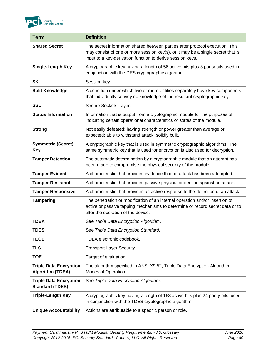

| <b>Term</b>                                              | <b>Definition</b>                                                                                                                                                                                                             |
|----------------------------------------------------------|-------------------------------------------------------------------------------------------------------------------------------------------------------------------------------------------------------------------------------|
| <b>Shared Secret</b>                                     | The secret information shared between parties after protocol execution. This<br>may consist of one or more session key(s), or it may be a single secret that is<br>input to a key-derivation function to derive session keys. |
| <b>Single-Length Key</b>                                 | A cryptographic key having a length of 56 active bits plus 8 parity bits used in<br>conjunction with the DES cryptographic algorithm.                                                                                         |
| <b>SK</b>                                                | Session key.                                                                                                                                                                                                                  |
| <b>Split Knowledge</b>                                   | A condition under which two or more entities separately have key components<br>that individually convey no knowledge of the resultant cryptographic key.                                                                      |
| <b>SSL</b>                                               | Secure Sockets Layer.                                                                                                                                                                                                         |
| <b>Status Information</b>                                | Information that is output from a cryptographic module for the purposes of<br>indicating certain operational characteristics or states of the module.                                                                         |
| <b>Strong</b>                                            | Not easily defeated; having strength or power greater than average or<br>expected; able to withstand attack; solidly built.                                                                                                   |
| <b>Symmetric (Secret)</b><br><b>Key</b>                  | A cryptographic key that is used in symmetric cryptographic algorithms. The<br>same symmetric key that is used for encryption is also used for decryption.                                                                    |
| <b>Tamper Detection</b>                                  | The automatic determination by a cryptographic module that an attempt has<br>been made to compromise the physical security of the module.                                                                                     |
| <b>Tamper-Evident</b>                                    | A characteristic that provides evidence that an attack has been attempted.                                                                                                                                                    |
| <b>Tamper-Resistant</b>                                  | A characteristic that provides passive physical protection against an attack.                                                                                                                                                 |
| <b>Tamper-Responsive</b>                                 | A characteristic that provides an active response to the detection of an attack.                                                                                                                                              |
| <b>Tampering</b>                                         | The penetration or modification of an internal operation and/or insertion of<br>active or passive tapping mechanisms to determine or record secret data or to<br>alter the operation of the device.                           |
| <b>TDEA</b>                                              | See Triple Data Encryption Algorithm.                                                                                                                                                                                         |
| TDES                                                     | See Triple Data Encryption Standard.                                                                                                                                                                                          |
| <b>TECB</b>                                              | TDEA electronic codebook.                                                                                                                                                                                                     |
| <b>TLS</b>                                               | <b>Transport Layer Security.</b>                                                                                                                                                                                              |
| <b>TOE</b>                                               | Target of evaluation.                                                                                                                                                                                                         |
| <b>Triple Data Encryption</b><br><b>Algorithm (TDEA)</b> | The algorithm specified in ANSI X9.52, Triple Data Encryption Algorithm<br>Modes of Operation.                                                                                                                                |
| <b>Triple Data Encryption</b><br><b>Standard (TDES)</b>  | See Triple Data Encryption Algorithm.                                                                                                                                                                                         |
| <b>Triple-Length Key</b>                                 | A cryptographic key having a length of 168 active bits plus 24 parity bits, used<br>in conjunction with the TDES cryptographic algorithm.                                                                                     |
| <b>Unique Accountability</b>                             | Actions are attributable to a specific person or role.                                                                                                                                                                        |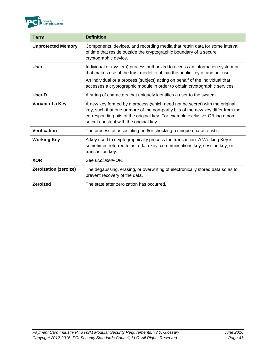

| Term                      | <b>Definition</b>                                                                                                                                                                                                                                                                       |
|---------------------------|-----------------------------------------------------------------------------------------------------------------------------------------------------------------------------------------------------------------------------------------------------------------------------------------|
| <b>Unprotected Memory</b> | Components, devices, and recording media that retain data for some interval<br>of time that reside outside the cryptographic boundary of a secure<br>cryptographic device.                                                                                                              |
| <b>User</b>               | Individual or (system) process authorized to access an information system or<br>that makes use of the trust model to obtain the public key of another user.                                                                                                                             |
|                           | An individual or a process (subject) acting on behalf of the individual that<br>accesses a cryptographic module in order to obtain cryptographic services.                                                                                                                              |
| <b>UserID</b>             | A string of characters that uniquely identifies a user to the system.                                                                                                                                                                                                                   |
| Variant of a Key          | A new key formed by a process (which need not be secret) with the original<br>key, such that one or more of the non-parity bits of the new key differ from the<br>corresponding bits of the original key. For example exclusive-OR'ing a non-<br>secret constant with the original key. |
| <b>Verification</b>       | The process of associating and/or checking a unique characteristic.                                                                                                                                                                                                                     |
| <b>Working Key</b>        | A key used to cryptographically process the transaction. A Working Key is<br>sometimes referred to as a data key, communications key, session key, or<br>transaction key.                                                                                                               |
| <b>XOR</b>                | See Exclusive-OR.                                                                                                                                                                                                                                                                       |
| Zeroization (zeroize)     | The degaussing, erasing, or overwriting of electronically stored data so as to<br>prevent recovery of the data.                                                                                                                                                                         |
| <b>Zeroized</b>           | The state after zeroization has occurred.                                                                                                                                                                                                                                               |